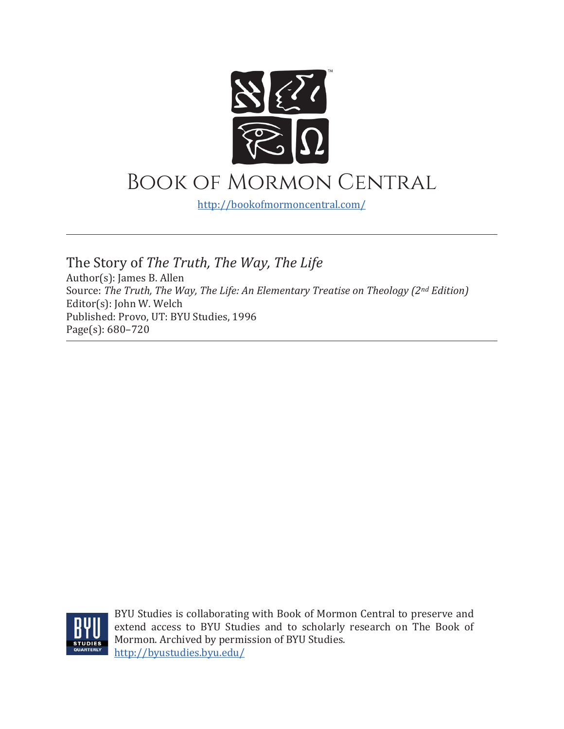

<http://bookofmormoncentral.com/>

The Story of *The Truth, The Way, The Life* Author(s): James B. Allen Source: *The Truth, The Way, The Life: An Elementary Treatise on Theology (2nd Edition)* Editor(s): John W. Welch Published: Provo, UT: BYU Studies, 1996 Page(s): 680–720



BYU Studies is collaborating with Book of Mormon Central to preserve and extend access to BYU Studies and to scholarly research on The Book of Mormon. Archived by permission of BYU Studies. <http://byustudies.byu.edu/>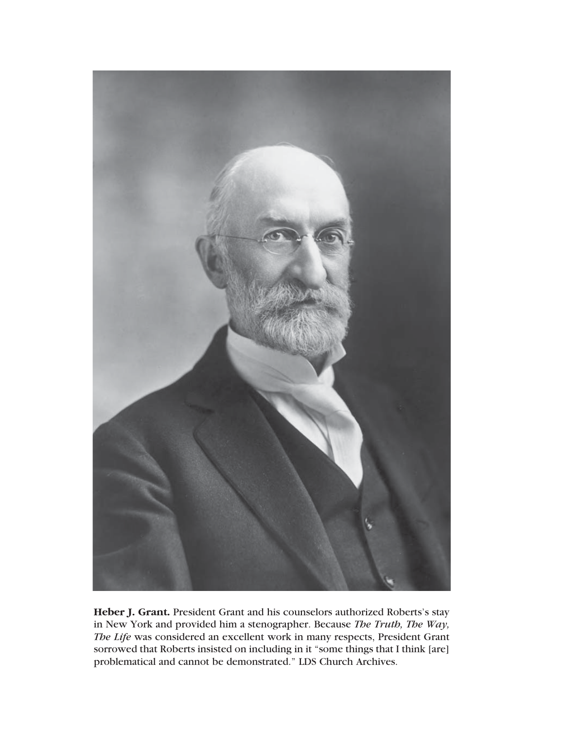

**Heber J. Grant.** President Grant and his counselors authorized Roberts's stay in New York and provided him a stenographer. Because *The Truth, The Way, The Life* was considered an excellent work in many respects, President Grant sorrowed that Roberts insisted on including in it "some things that I think [are] problematical and cannot be demonstrated." LDS Church Archives.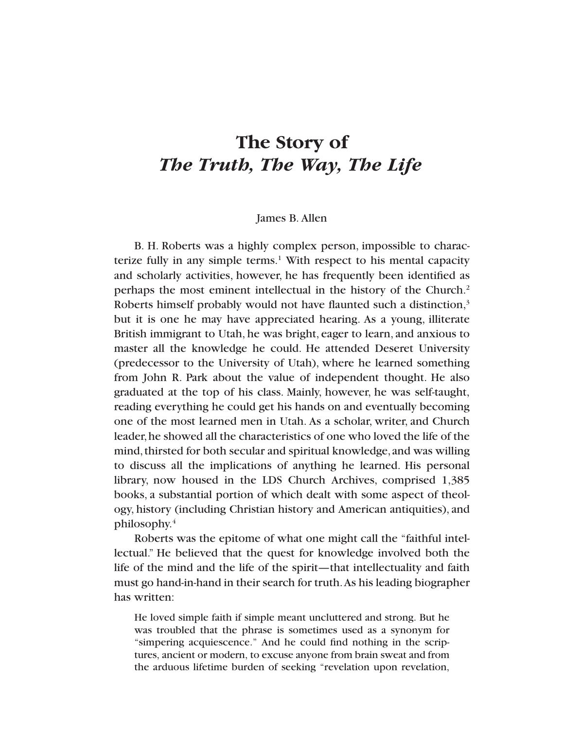# **The Story of** *The Truth, The Way, The Life*

#### James B. Allen

B. H. Roberts was a highly complex person, impossible to characterize fully in any simple terms.<sup>1</sup> With respect to his mental capacity and scholarly activities, however, he has frequently been identified as perhaps the most eminent intellectual in the history of the Church.2 Roberts himself probably would not have flaunted such a distinction,<sup>3</sup> but it is one he may have appreciated hearing. As a young, illiterate British immigrant to Utah, he was bright, eager to learn, and anxious to master all the knowledge he could. He attended Deseret University (predecessor to the University of Utah), where he learned something from John R. Park about the value of independent thought. He also graduated at the top of his class. Mainly, however, he was self-taught, reading everything he could get his hands on and eventually becoming one of the most learned men in Utah. As a scholar, writer, and Church leader,he showed all the characteristics of one who loved the life of the mind, thirsted for both secular and spiritual knowledge, and was willing to discuss all the implications of anything he learned. His personal library, now housed in the LDS Church Archives, comprised 1,385 books, a substantial portion of which dealt with some aspect of theology, history (including Christian history and American antiquities), and philosophy.4

Roberts was the epitome of what one might call the "faithful intellectual." He believed that the quest for knowledge involved both the life of the mind and the life of the spirit—that intellectuality and faith must go hand-in-hand in their search for truth.As his leading biographer has written:

He loved simple faith if simple meant uncluttered and strong. But he was troubled that the phrase is sometimes used as a synonym for "simpering acquiescence." And he could find nothing in the scriptures, ancient or modern, to excuse anyone from brain sweat and from the arduous lifetime burden of seeking "revelation upon revelation,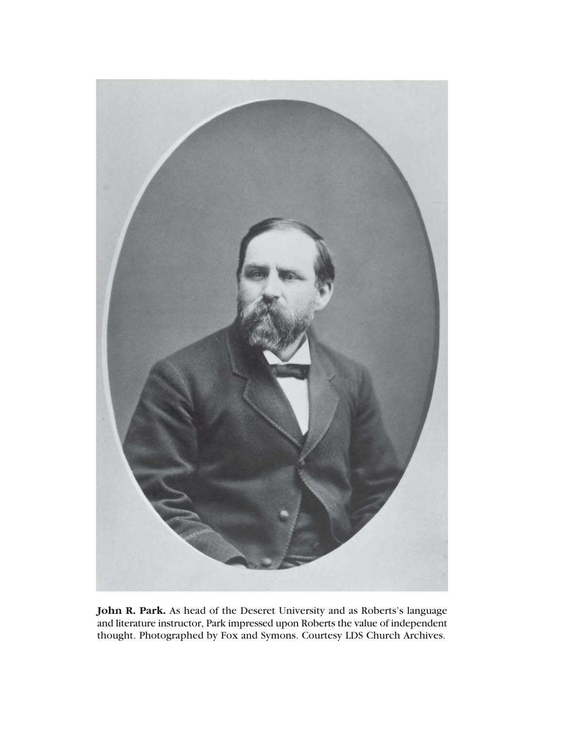

**John R. Park.** As head of the Deseret University and as Roberts's language and literature instructor, Park impressed upon Roberts the value of independent thought. Photographed by Fox and Symons. Courtesy LDS Church Archives.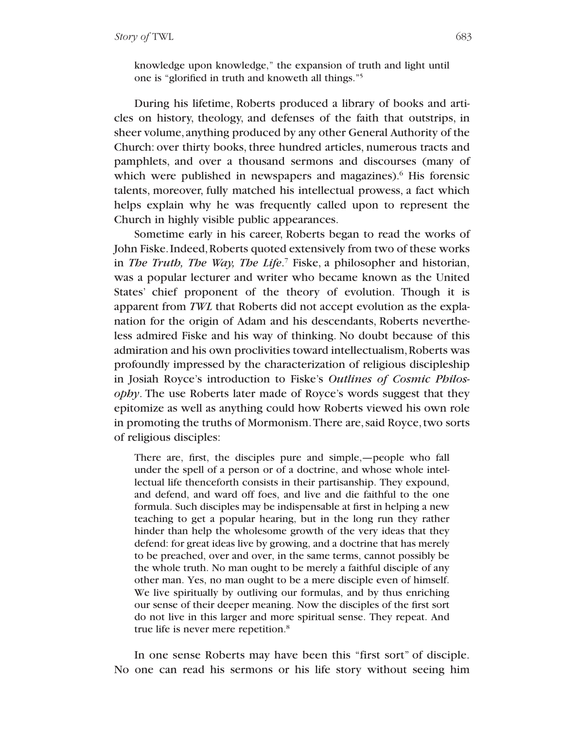knowledge upon knowledge," the expansion of truth and light until one is "glorified in truth and knoweth all things."5

During his lifetime, Roberts produced a library of books and articles on history, theology, and defenses of the faith that outstrips, in sheer volume, anything produced by any other General Authority of the Church: over thirty books, three hundred articles, numerous tracts and pamphlets, and over a thousand sermons and discourses (many of which were published in newspapers and magazines).<sup>6</sup> His forensic talents, moreover, fully matched his intellectual prowess, a fact which helps explain why he was frequently called upon to represent the Church in highly visible public appearances.

Sometime early in his career, Roberts began to read the works of John Fiske. Indeed,Roberts quoted extensively from two of these works in *The Truth, The Way, The Life*. <sup>7</sup> Fiske, a philosopher and historian, was a popular lecturer and writer who became known as the United States' chief proponent of the theory of evolution. Though it is apparent from *TWL* that Roberts did not accept evolution as the explanation for the origin of Adam and his descendants, Roberts nevertheless admired Fiske and his way of thinking. No doubt because of this admiration and his own proclivities toward intellectualism,Roberts was profoundly impressed by the characterization of religious discipleship in Josiah Royce's introduction to Fiske's *Outlines of Cosmic Philosophy*. The use Roberts later made of Royce's words suggest that they epitomize as well as anything could how Roberts viewed his own role in promoting the truths of Mormonism. There are, said Royce, two sorts of religious disciples:

There are, first, the disciples pure and simple,—people who fall under the spell of a person or of a doctrine, and whose whole intellectual life thenceforth consists in their partisanship. They expound, and defend, and ward off foes, and live and die faithful to the one formula. Such disciples may be indispensable at first in helping a new teaching to get a popular hearing, but in the long run they rather hinder than help the wholesome growth of the very ideas that they defend: for great ideas live by growing, and a doctrine that has merely to be preached, over and over, in the same terms, cannot possibly be the whole truth. No man ought to be merely a faithful disciple of any other man. Yes, no man ought to be a mere disciple even of himself. We live spiritually by outliving our formulas, and by thus enriching our sense of their deeper meaning. Now the disciples of the first sort do not live in this larger and more spiritual sense. They repeat. And true life is never mere repetition.<sup>8</sup>

In one sense Roberts may have been this "first sort" of disciple. No one can read his sermons or his life story without seeing him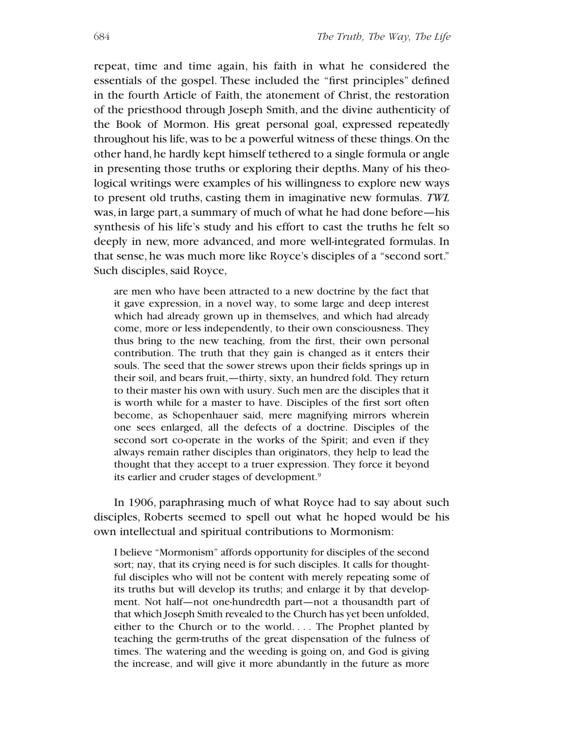repeat, time and time again, his faith in what he considered the essentials of the gospel. These included the "first principles" defined in the fourth Article of Faith, the atonement of Christ, the restoration of the priesthood through Joseph Smith, and the divine authenticity of the Book of Mormon. His great personal goal, expressed repeatedly throughout his life,was to be a powerful witness of these things.On the other hand, he hardly kept himself tethered to a single formula or angle in presenting those truths or exploring their depths. Many of his theological writings were examples of his willingness to explore new ways to present old truths, casting them in imaginative new formulas. *TWL* was,in large part, a summary of much of what he had done before—his synthesis of his life's study and his effort to cast the truths he felt so deeply in new, more advanced, and more well-integrated formulas. In that sense, he was much more like Royce's disciples of a "second sort." Such disciples, said Royce,

are men who have been attracted to a new doctrine by the fact that it gave expression, in a novel way, to some large and deep interest which had already grown up in themselves, and which had already come, more or less independently, to their own consciousness. They thus bring to the new teaching, from the first, their own personal contribution. The truth that they gain is changed as it enters their souls. The seed that the sower strews upon their fields springs up in their soil, and bears fruit,—thirty, sixty, an hundred fold. They return to their master his own with usury. Such men are the disciples that it is worth while for a master to have. Disciples of the first sort often become, as Schopenhauer said, mere magnifying mirrors wherein one sees enlarged, all the defects of a doctrine. Disciples of the second sort co-operate in the works of the Spirit; and even if they always remain rather disciples than originators, they help to lead the thought that they accept to a truer expression. They force it beyond its earlier and cruder stages of development.9

In 1906, paraphrasing much of what Royce had to say about such disciples, Roberts seemed to spell out what he hoped would be his own intellectual and spiritual contributions to Mormonism:

I believe "Mormonism" affords opportunity for disciples of the second sort; nay, that its crying need is for such disciples. It calls for thoughtful disciples who will not be content with merely repeating some of its truths but will develop its truths; and enlarge it by that development. Not half—not one-hundredth part—not a thousandth part of that which Joseph Smith revealed to the Church has yet been unfolded, either to the Church or to the world. . . . The Prophet planted by teaching the germ-truths of the great dispensation of the fulness of times. The watering and the weeding is going on, and God is giving the increase, and will give it more abundantly in the future as more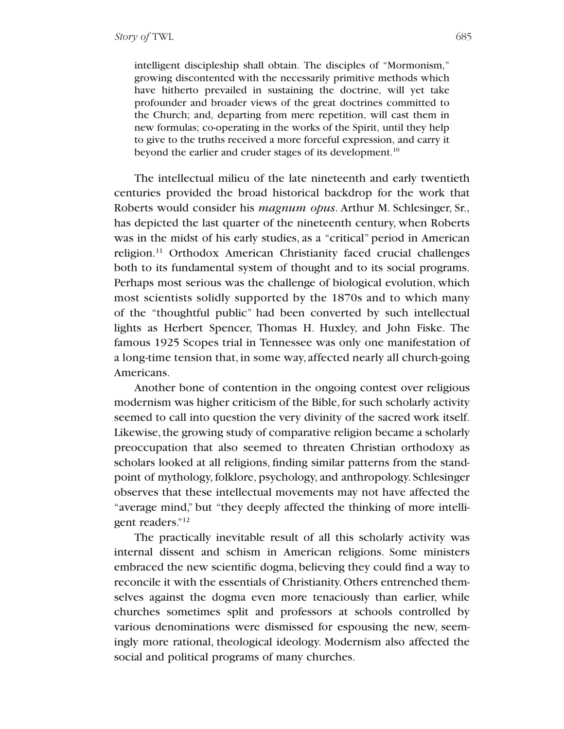intelligent discipleship shall obtain. The disciples of "Mormonism," growing discontented with the necessarily primitive methods which have hitherto prevailed in sustaining the doctrine, will yet take profounder and broader views of the great doctrines committed to the Church; and, departing from mere repetition, will cast them in new formulas; co-operating in the works of the Spirit, until they help to give to the truths received a more forceful expression, and carry it beyond the earlier and cruder stages of its development.<sup>10</sup>

The intellectual milieu of the late nineteenth and early twentieth centuries provided the broad historical backdrop for the work that Roberts would consider his *magnum opus*. Arthur M. Schlesinger, Sr., has depicted the last quarter of the nineteenth century, when Roberts was in the midst of his early studies, as a "critical" period in American religion.11 Orthodox American Christianity faced crucial challenges both to its fundamental system of thought and to its social programs. Perhaps most serious was the challenge of biological evolution, which most scientists solidly supported by the 1870s and to which many of the "thoughtful public" had been converted by such intellectual lights as Herbert Spencer, Thomas H. Huxley, and John Fiske. The famous 1925 Scopes trial in Tennessee was only one manifestation of a long-time tension that, in some way, affected nearly all church-going Americans.

Another bone of contention in the ongoing contest over religious modernism was higher criticism of the Bible,for such scholarly activity seemed to call into question the very divinity of the sacred work itself. Likewise, the growing study of comparative religion became a scholarly preoccupation that also seemed to threaten Christian orthodoxy as scholars looked at all religions, finding similar patterns from the standpoint of mythology, folklore, psychology, and anthropology. Schlesinger observes that these intellectual movements may not have affected the "average mind," but "they deeply affected the thinking of more intelligent readers."<sup>12</sup>

The practically inevitable result of all this scholarly activity was internal dissent and schism in American religions. Some ministers embraced the new scientific dogma, believing they could find a way to reconcile it with the essentials of Christianity.Others entrenched themselves against the dogma even more tenaciously than earlier, while churches sometimes split and professors at schools controlled by various denominations were dismissed for espousing the new, seemingly more rational, theological ideology. Modernism also affected the social and political programs of many churches.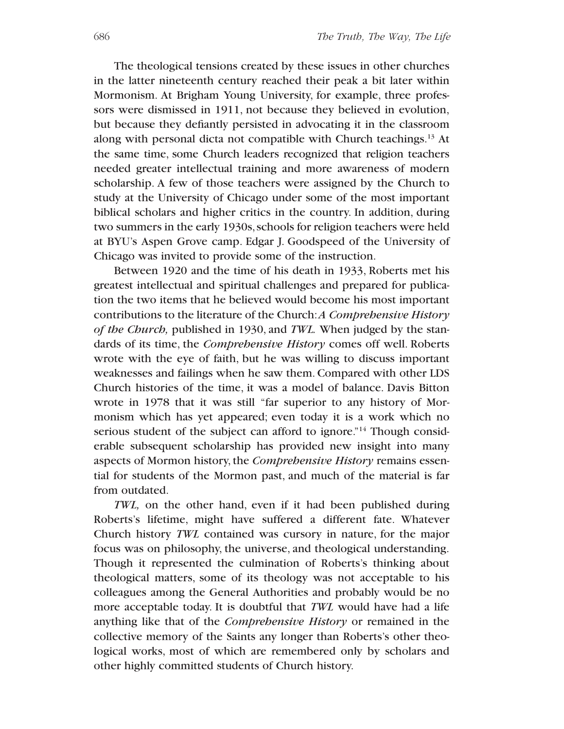The theological tensions created by these issues in other churches in the latter nineteenth century reached their peak a bit later within Mormonism. At Brigham Young University, for example, three professors were dismissed in 1911, not because they believed in evolution, but because they defiantly persisted in advocating it in the classroom along with personal dicta not compatible with Church teachings.<sup>13</sup> At the same time, some Church leaders recognized that religion teachers needed greater intellectual training and more awareness of modern scholarship. A few of those teachers were assigned by the Church to study at the University of Chicago under some of the most important biblical scholars and higher critics in the country. In addition, during two summers in the early 1930s, schools for religion teachers were held at BYU's Aspen Grove camp. Edgar J. Goodspeed of the University of Chicago was invited to provide some of the instruction.

Between 1920 and the time of his death in 1933, Roberts met his greatest intellectual and spiritual challenges and prepared for publication the two items that he believed would become his most important contributions to the literature of the Church:*A Comprehensive History of the Church,* published in 1930, and *TWL.* When judged by the standards of its time, the *Comprehensive History* comes off well. Roberts wrote with the eye of faith, but he was willing to discuss important weaknesses and failings when he saw them.Compared with other LDS Church histories of the time, it was a model of balance. Davis Bitton wrote in 1978 that it was still "far superior to any history of Mormonism which has yet appeared; even today it is a work which no serious student of the subject can afford to ignore.<sup>"14</sup> Though considerable subsequent scholarship has provided new insight into many aspects of Mormon history, the *Comprehensive History* remains essential for students of the Mormon past, and much of the material is far from outdated.

*TWL,* on the other hand, even if it had been published during Roberts's lifetime, might have suffered a different fate. Whatever Church history *TWL* contained was cursory in nature, for the major focus was on philosophy, the universe, and theological understanding. Though it represented the culmination of Roberts's thinking about theological matters, some of its theology was not acceptable to his colleagues among the General Authorities and probably would be no more acceptable today. It is doubtful that *TWL* would have had a life anything like that of the *Comprehensive History* or remained in the collective memory of the Saints any longer than Roberts's other theological works, most of which are remembered only by scholars and other highly committed students of Church history.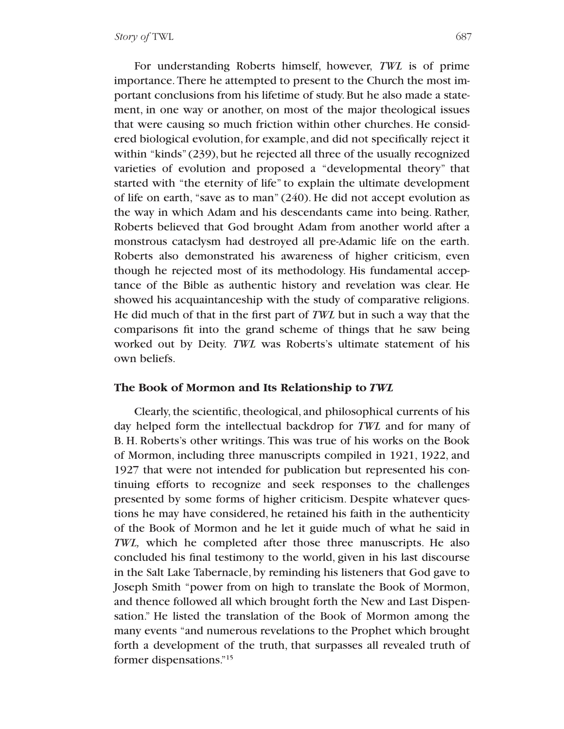For understanding Roberts himself, however, *TWL* is of prime importance.There he attempted to present to the Church the most important conclusions from his lifetime of study.But he also made a statement, in one way or another, on most of the major theological issues that were causing so much friction within other churches. He considered biological evolution,for example, and did not specifically reject it within "kinds" (239), but he rejected all three of the usually recognized varieties of evolution and proposed a "developmental theory" that started with "the eternity of life" to explain the ultimate development of life on earth, "save as to man" (240). He did not accept evolution as the way in which Adam and his descendants came into being. Rather, Roberts believed that God brought Adam from another world after a monstrous cataclysm had destroyed all pre-Adamic life on the earth. Roberts also demonstrated his awareness of higher criticism, even though he rejected most of its methodology. His fundamental acceptance of the Bible as authentic history and revelation was clear. He showed his acquaintanceship with the study of comparative religions. He did much of that in the first part of *TWL* but in such a way that the comparisons fit into the grand scheme of things that he saw being worked out by Deity. *TWL* was Roberts's ultimate statement of his own beliefs.

### **The Book of Mormon and Its Relationship to** *TWL*

Clearly, the scientific, theological, and philosophical currents of his day helped form the intellectual backdrop for *TWL* and for many of B. H. Roberts's other writings. This was true of his works on the Book of Mormon, including three manuscripts compiled in 1921, 1922, and 1927 that were not intended for publication but represented his continuing efforts to recognize and seek responses to the challenges presented by some forms of higher criticism. Despite whatever questions he may have considered, he retained his faith in the authenticity of the Book of Mormon and he let it guide much of what he said in *TWL,* which he completed after those three manuscripts. He also concluded his final testimony to the world, given in his last discourse in the Salt Lake Tabernacle, by reminding his listeners that God gave to Joseph Smith "power from on high to translate the Book of Mormon, and thence followed all which brought forth the New and Last Dispensation." He listed the translation of the Book of Mormon among the many events "and numerous revelations to the Prophet which brought forth a development of the truth, that surpasses all revealed truth of former dispensations."15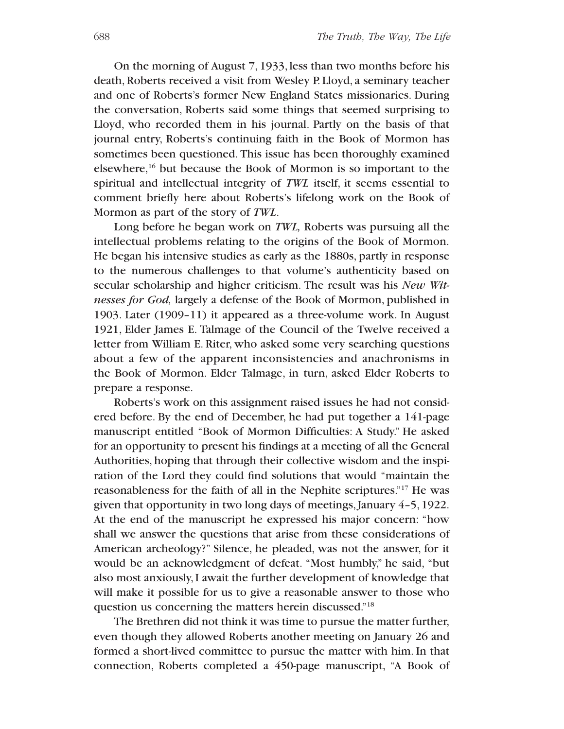On the morning of August 7, 1933, less than two months before his death, Roberts received a visit from Wesley P. Lloyd, a seminary teacher and one of Roberts's former New England States missionaries. During the conversation, Roberts said some things that seemed surprising to Lloyd, who recorded them in his journal. Partly on the basis of that journal entry, Roberts's continuing faith in the Book of Mormon has sometimes been questioned. This issue has been thoroughly examined elsewhere,16 but because the Book of Mormon is so important to the spiritual and intellectual integrity of *TWL* itself, it seems essential to comment briefly here about Roberts's lifelong work on the Book of Mormon as part of the story of *TWL*.

Long before he began work on *TWL,* Roberts was pursuing all the intellectual problems relating to the origins of the Book of Mormon. He began his intensive studies as early as the 1880s, partly in response to the numerous challenges to that volume's authenticity based on secular scholarship and higher criticism. The result was his *New Witnesses for God,* largely a defense of the Book of Mormon, published in 1903. Later (1909–11) it appeared as a three-volume work. In August 1921, Elder James E. Talmage of the Council of the Twelve received a letter from William E. Riter, who asked some very searching questions about a few of the apparent inconsistencies and anachronisms in the Book of Mormon. Elder Talmage, in turn, asked Elder Roberts to prepare a response.

Roberts's work on this assignment raised issues he had not considered before. By the end of December, he had put together a 141-page manuscript entitled "Book of Mormon Difficulties: A Study." He asked for an opportunity to present his findings at a meeting of all the General Authorities, hoping that through their collective wisdom and the inspiration of the Lord they could find solutions that would "maintain the reasonableness for the faith of all in the Nephite scriptures."17 He was given that opportunity in two long days of meetings, January 4–5, 1922. At the end of the manuscript he expressed his major concern: "how shall we answer the questions that arise from these considerations of American archeology?" Silence, he pleaded, was not the answer, for it would be an acknowledgment of defeat. "Most humbly," he said, "but also most anxiously,I await the further development of knowledge that will make it possible for us to give a reasonable answer to those who question us concerning the matters herein discussed."18

The Brethren did not think it was time to pursue the matter further, even though they allowed Roberts another meeting on January 26 and formed a short-lived committee to pursue the matter with him. In that connection, Roberts completed a 450-page manuscript, "A Book of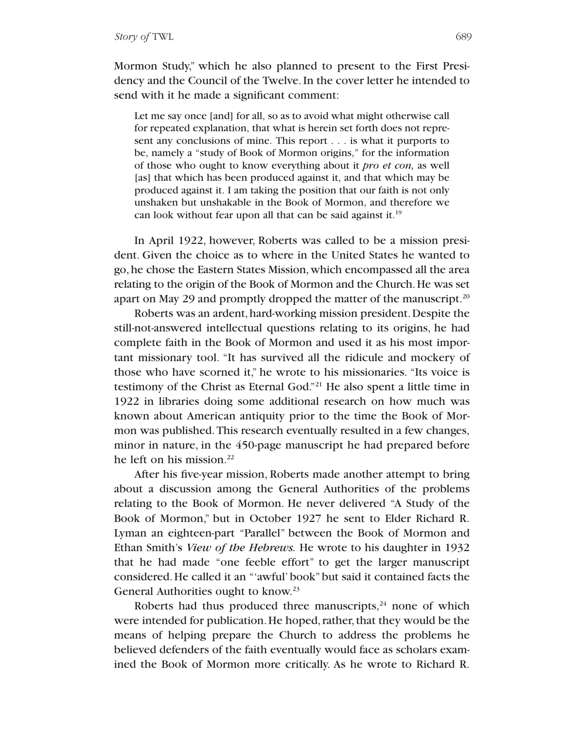Mormon Study," which he also planned to present to the First Presidency and the Council of the Twelve.In the cover letter he intended to send with it he made a significant comment:

Let me say once [and] for all, so as to avoid what might otherwise call for repeated explanation, that what is herein set forth does not represent any conclusions of mine. This report . . . is what it purports to be, namely a "study of Book of Mormon origins," for the information of those who ought to know everything about it *pro et con,* as well [as] that which has been produced against it, and that which may be produced against it. I am taking the position that our faith is not only unshaken but unshakable in the Book of Mormon, and therefore we can look without fear upon all that can be said against it.19

In April 1922, however, Roberts was called to be a mission president. Given the choice as to where in the United States he wanted to go,he chose the Eastern States Mission,which encompassed all the area relating to the origin of the Book of Mormon and the Church. He was set apart on May 29 and promptly dropped the matter of the manuscript.<sup>20</sup>

Roberts was an ardent, hard-working mission president.Despite the still-not-answered intellectual questions relating to its origins, he had complete faith in the Book of Mormon and used it as his most important missionary tool. "It has survived all the ridicule and mockery of those who have scorned it," he wrote to his missionaries. "Its voice is testimony of the Christ as Eternal God."21 He also spent a little time in 1922 in libraries doing some additional research on how much was known about American antiquity prior to the time the Book of Mormon was published.This research eventually resulted in a few changes, minor in nature, in the 450-page manuscript he had prepared before he left on his mission. $22$ 

After his five-year mission, Roberts made another attempt to bring about a discussion among the General Authorities of the problems relating to the Book of Mormon. He never delivered "A Study of the Book of Mormon," but in October 1927 he sent to Elder Richard R. Lyman an eighteen-part "Parallel" between the Book of Mormon and Ethan Smith's *View of the Hebrews.* He wrote to his daughter in 1932 that he had made "one feeble effort" to get the larger manuscript considered. He called it an "'awful' book" but said it contained facts the General Authorities ought to know.<sup>23</sup>

Roberts had thus produced three manuscripts, $24$  none of which were intended for publication. He hoped, rather, that they would be the means of helping prepare the Church to address the problems he believed defenders of the faith eventually would face as scholars examined the Book of Mormon more critically. As he wrote to Richard R.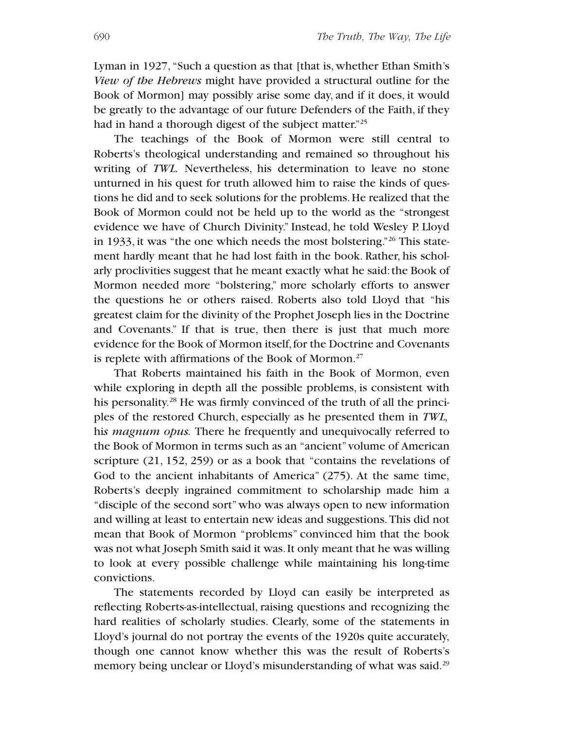Lyman in 1927, "Such a question as that [that is, whether Ethan Smith's *View of the Hebrews* might have provided a structural outline for the Book of Mormon] may possibly arise some day, and if it does, it would be greatly to the advantage of our future Defenders of the Faith, if they had in hand a thorough digest of the subject matter."<sup>25</sup>

The teachings of the Book of Mormon were still central to Roberts's theological understanding and remained so throughout his writing of *TWL.* Nevertheless, his determination to leave no stone unturned in his quest for truth allowed him to raise the kinds of questions he did and to seek solutions for the problems.He realized that the Book of Mormon could not be held up to the world as the "strongest evidence we have of Church Divinity." Instead, he told Wesley P. Lloyd in 1933, it was "the one which needs the most bolstering."26 This statement hardly meant that he had lost faith in the book. Rather, his scholarly proclivities suggest that he meant exactly what he said: the Book of Mormon needed more "bolstering," more scholarly efforts to answer the questions he or others raised. Roberts also told Lloyd that "his greatest claim for the divinity of the Prophet Joseph lies in the Doctrine and Covenants." If that is true, then there is just that much more evidence for the Book of Mormon itself, for the Doctrine and Covenants is replete with affirmations of the Book of Mormon.27

That Roberts maintained his faith in the Book of Mormon, even while exploring in depth all the possible problems, is consistent with his personality.<sup>28</sup> He was firmly convinced of the truth of all the principles of the restored Church, especially as he presented them in *TWL,* hi*s magnum opus.* There he frequently and unequivocally referred to the Book of Mormon in terms such as an "ancient"volume of American scripture (21, 152, 259) or as a book that "contains the revelations of God to the ancient inhabitants of America" (275). At the same time, Roberts's deeply ingrained commitment to scholarship made him a "disciple of the second sort"who was always open to new information and willing at least to entertain new ideas and suggestions.This did not mean that Book of Mormon "problems" convinced him that the book was not what Joseph Smith said it was. It only meant that he was willing to look at every possible challenge while maintaining his long-time convictions.

The statements recorded by Lloyd can easily be interpreted as reflecting Roberts-as-intellectual, raising questions and recognizing the hard realities of scholarly studies. Clearly, some of the statements in Lloyd's journal do not portray the events of the 1920s quite accurately, though one cannot know whether this was the result of Roberts's memory being unclear or Lloyd's misunderstanding of what was said.<sup>29</sup>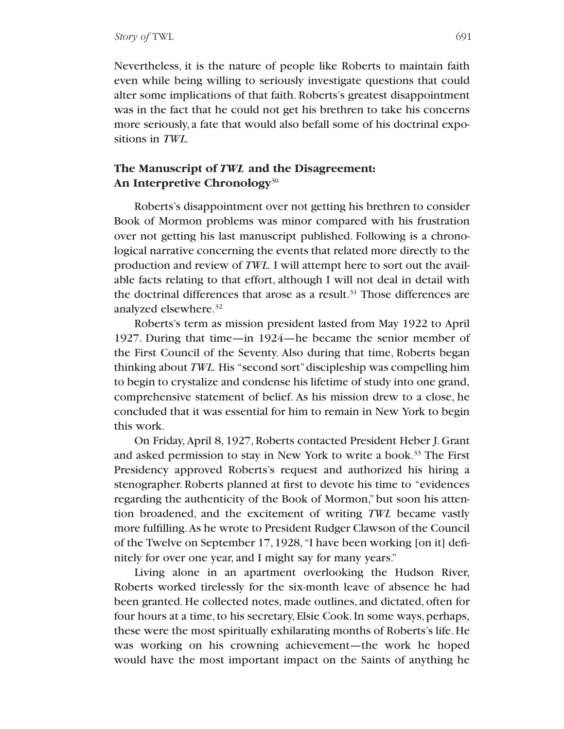Nevertheless, it is the nature of people like Roberts to maintain faith even while being willing to seriously investigate questions that could alter some implications of that faith. Roberts's greatest disappointment was in the fact that he could not get his brethren to take his concerns more seriously, a fate that would also befall some of his doctrinal expositions in *TWL.*

## **The Manuscript of** *TWL* **and the Disagreement: An Interpretive Chronology**<sup>30</sup>

Roberts's disappointment over not getting his brethren to consider Book of Mormon problems was minor compared with his frustration over not getting his last manuscript published. Following is a chronological narrative concerning the events that related more directly to the production and review of *TWL.* I will attempt here to sort out the available facts relating to that effort, although I will not deal in detail with the doctrinal differences that arose as a result.<sup>31</sup> Those differences are analyzed elsewhere.32

Roberts's term as mission president lasted from May 1922 to April 1927. During that time—in 1924—he became the senior member of the First Council of the Seventy. Also during that time, Roberts began thinking about *TWL.* His "second sort"discipleship was compelling him to begin to crystalize and condense his lifetime of study into one grand, comprehensive statement of belief. As his mission drew to a close, he concluded that it was essential for him to remain in New York to begin this work.

On Friday,April 8, 1927, Roberts contacted President Heber J. Grant and asked permission to stay in New York to write a book.33 The First Presidency approved Roberts's request and authorized his hiring a stenographer. Roberts planned at first to devote his time to "evidences regarding the authenticity of the Book of Mormon," but soon his attention broadened, and the excitement of writing *TWL* became vastly more fulfilling.As he wrote to President Rudger Clawson of the Council of the Twelve on September 17, 1928, "I have been working [on it] definitely for over one year, and I might say for many years."

Living alone in an apartment overlooking the Hudson River, Roberts worked tirelessly for the six-month leave of absence he had been granted. He collected notes, made outlines, and dictated, often for four hours at a time, to his secretary, Elsie Cook. In some ways, perhaps, these were the most spiritually exhilarating months of Roberts's life. He was working on his crowning achievement—the work he hoped would have the most important impact on the Saints of anything he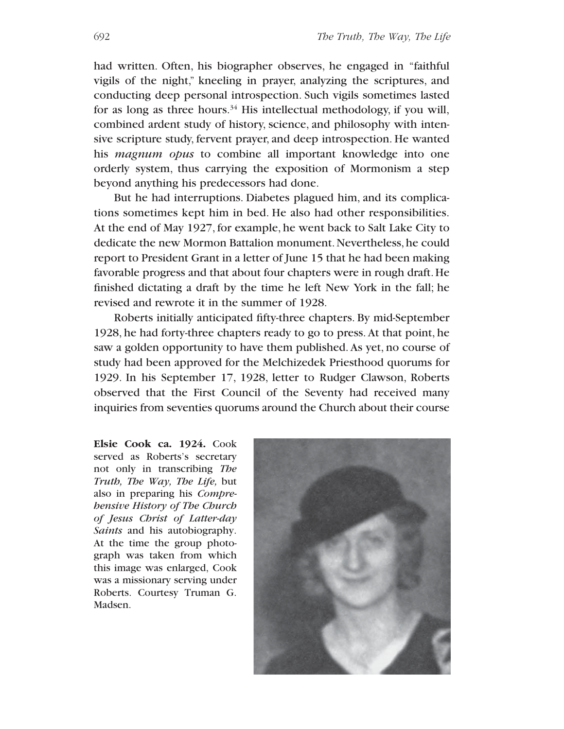had written. Often, his biographer observes, he engaged in "faithful vigils of the night," kneeling in prayer, analyzing the scriptures, and conducting deep personal introspection. Such vigils sometimes lasted for as long as three hours.<sup>34</sup> His intellectual methodology, if you will, combined ardent study of history, science, and philosophy with intensive scripture study, fervent prayer, and deep introspection. He wanted his *magnum opus* to combine all important knowledge into one orderly system, thus carrying the exposition of Mormonism a step beyond anything his predecessors had done.

But he had interruptions. Diabetes plagued him, and its complications sometimes kept him in bed. He also had other responsibilities. At the end of May 1927, for example, he went back to Salt Lake City to dedicate the new Mormon Battalion monument. Nevertheless, he could report to President Grant in a letter of June 15 that he had been making favorable progress and that about four chapters were in rough draft.He finished dictating a draft by the time he left New York in the fall; he revised and rewrote it in the summer of 1928.

Roberts initially anticipated fifty-three chapters. By mid-September 1928, he had forty-three chapters ready to go to press. At that point, he saw a golden opportunity to have them published. As yet, no course of study had been approved for the Melchizedek Priesthood quorums for 1929. In his September 17, 1928, letter to Rudger Clawson, Roberts observed that the First Council of the Seventy had received many inquiries from seventies quorums around the Church about their course

**Elsie Cook ca. 1924.** Cook served as Roberts's secretary not only in transcribing *The Truth, The Way, The Life,* but also in preparing his *Comprehensive History of The Church of Jesus Christ of Latter-day Saints* and his autobiography. At the time the group photograph was taken from which this image was enlarged, Cook was a missionary serving under Roberts. Courtesy Truman G. Madsen.

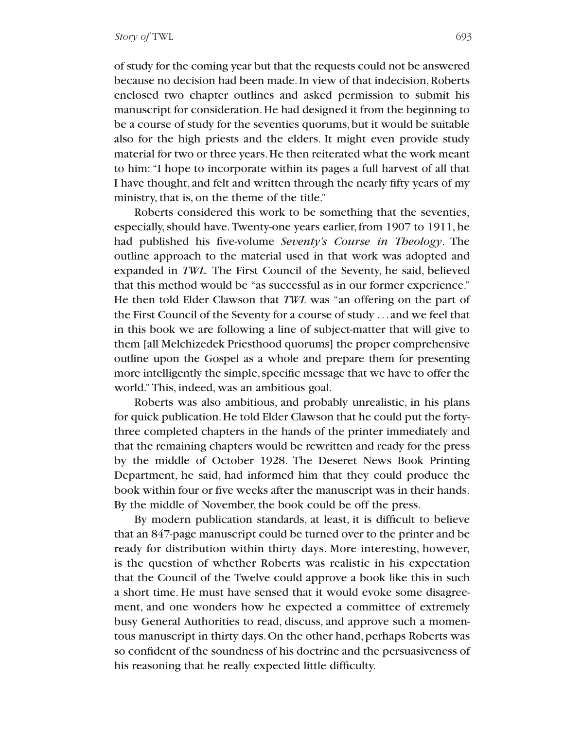of study for the coming year but that the requests could not be answered because no decision had been made. In view of that indecision, Roberts enclosed two chapter outlines and asked permission to submit his manuscript for consideration.He had designed it from the beginning to be a course of study for the seventies quorums,but it would be suitable also for the high priests and the elders. It might even provide study material for two or three years.He then reiterated what the work meant to him: "I hope to incorporate within its pages a full harvest of all that I have thought, and felt and written through the nearly fifty years of my ministry, that is, on the theme of the title."

Roberts considered this work to be something that the seventies, especially, should have. Twenty-one years earlier, from 1907 to 1911, he had published his five-volume *Seventy's Course in Theology*. The outline approach to the material used in that work was adopted and expanded in *TWL.* The First Council of the Seventy, he said, believed that this method would be "as successful as in our former experience." He then told Elder Clawson that *TWL* was "an offering on the part of the First Council of the Seventy for a course of study ... and we feel that in this book we are following a line of subject-matter that will give to them [all Melchizedek Priesthood quorums] the proper comprehensive outline upon the Gospel as a whole and prepare them for presenting more intelligently the simple, specific message that we have to offer the world." This, indeed, was an ambitious goal.

Roberts was also ambitious, and probably unrealistic, in his plans for quick publication.He told Elder Clawson that he could put the fortythree completed chapters in the hands of the printer immediately and that the remaining chapters would be rewritten and ready for the press by the middle of October 1928. The Deseret News Book Printing Department, he said, had informed him that they could produce the book within four or five weeks after the manuscript was in their hands. By the middle of November, the book could be off the press.

By modern publication standards, at least, it is difficult to believe that an 847-page manuscript could be turned over to the printer and be ready for distribution within thirty days. More interesting, however, is the question of whether Roberts was realistic in his expectation that the Council of the Twelve could approve a book like this in such a short time. He must have sensed that it would evoke some disagreement, and one wonders how he expected a committee of extremely busy General Authorities to read, discuss, and approve such a momentous manuscript in thirty days. On the other hand, perhaps Roberts was so confident of the soundness of his doctrine and the persuasiveness of his reasoning that he really expected little difficulty.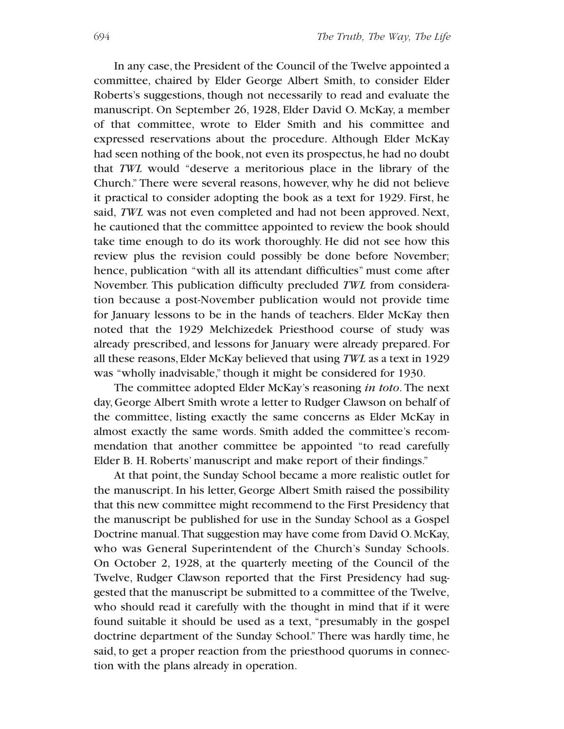In any case, the President of the Council of the Twelve appointed a committee, chaired by Elder George Albert Smith, to consider Elder Roberts's suggestions, though not necessarily to read and evaluate the manuscript. On September 26, 1928, Elder David O. McKay, a member of that committee, wrote to Elder Smith and his committee and expressed reservations about the procedure. Although Elder McKay had seen nothing of the book, not even its prospectus, he had no doubt that *TWL* would "deserve a meritorious place in the library of the Church." There were several reasons, however, why he did not believe it practical to consider adopting the book as a text for 1929. First, he said, *TWL* was not even completed and had not been approved. Next, he cautioned that the committee appointed to review the book should take time enough to do its work thoroughly. He did not see how this review plus the revision could possibly be done before November; hence, publication "with all its attendant difficulties" must come after November. This publication difficulty precluded *TWL* from consideration because a post-November publication would not provide time for January lessons to be in the hands of teachers. Elder McKay then noted that the 1929 Melchizedek Priesthood course of study was already prescribed, and lessons for January were already prepared. For all these reasons, Elder McKay believed that using *TWL* as a text in 1929 was "wholly inadvisable," though it might be considered for 1930.

The committee adopted Elder McKay's reasoning *in toto*. The next day,George Albert Smith wrote a letter to Rudger Clawson on behalf of the committee, listing exactly the same concerns as Elder McKay in almost exactly the same words. Smith added the committee's recommendation that another committee be appointed "to read carefully Elder B. H. Roberts' manuscript and make report of their findings."

At that point, the Sunday School became a more realistic outlet for the manuscript. In his letter, George Albert Smith raised the possibility that this new committee might recommend to the First Presidency that the manuscript be published for use in the Sunday School as a Gospel Doctrine manual.That suggestion may have come from David O.McKay, who was General Superintendent of the Church's Sunday Schools. On October 2, 1928, at the quarterly meeting of the Council of the Twelve, Rudger Clawson reported that the First Presidency had suggested that the manuscript be submitted to a committee of the Twelve, who should read it carefully with the thought in mind that if it were found suitable it should be used as a text, "presumably in the gospel doctrine department of the Sunday School." There was hardly time, he said, to get a proper reaction from the priesthood quorums in connection with the plans already in operation.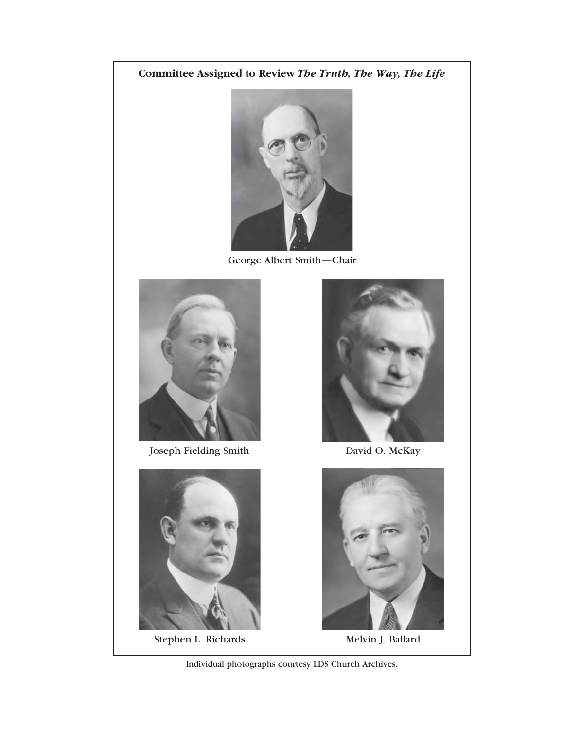# **Committee Assigned to Review** *The Truth, The Way, The Life*



George Albert Smith—Chair



Joseph Fielding Smith David O. McKay



Stephen L. Richards Melvin J. Ballard





Individual photographs courtesy LDS Church Archives.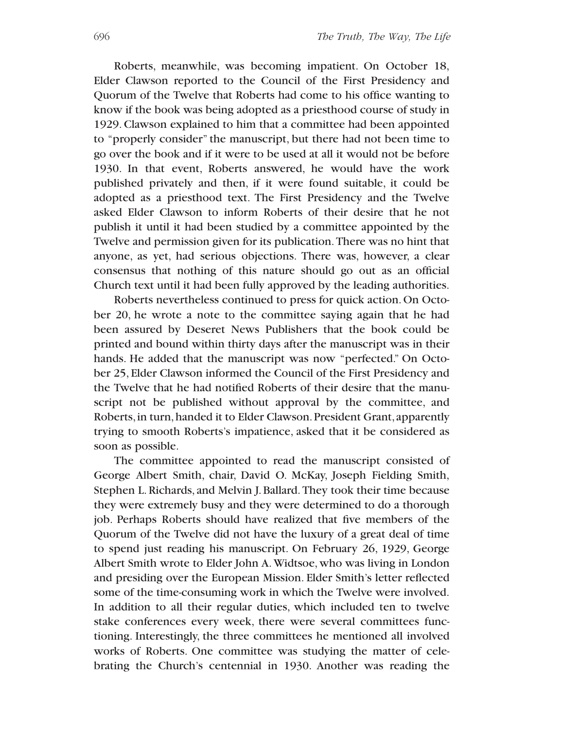Roberts, meanwhile, was becoming impatient. On October 18, Elder Clawson reported to the Council of the First Presidency and Quorum of the Twelve that Roberts had come to his office wanting to know if the book was being adopted as a priesthood course of study in 1929. Clawson explained to him that a committee had been appointed to "properly consider" the manuscript, but there had not been time to go over the book and if it were to be used at all it would not be before 1930. In that event, Roberts answered, he would have the work published privately and then, if it were found suitable, it could be adopted as a priesthood text. The First Presidency and the Twelve asked Elder Clawson to inform Roberts of their desire that he not publish it until it had been studied by a committee appointed by the Twelve and permission given for its publication.There was no hint that anyone, as yet, had serious objections. There was, however, a clear consensus that nothing of this nature should go out as an official Church text until it had been fully approved by the leading authorities.

Roberts nevertheless continued to press for quick action.On October 20, he wrote a note to the committee saying again that he had been assured by Deseret News Publishers that the book could be printed and bound within thirty days after the manuscript was in their hands. He added that the manuscript was now "perfected." On October 25, Elder Clawson informed the Council of the First Presidency and the Twelve that he had notified Roberts of their desire that the manuscript not be published without approval by the committee, and Roberts, in turn, handed it to Elder Clawson. President Grant, apparently trying to smooth Roberts's impatience, asked that it be considered as soon as possible.

The committee appointed to read the manuscript consisted of George Albert Smith, chair, David O. McKay, Joseph Fielding Smith, Stephen L. Richards, and Melvin J. Ballard. They took their time because they were extremely busy and they were determined to do a thorough job. Perhaps Roberts should have realized that five members of the Quorum of the Twelve did not have the luxury of a great deal of time to spend just reading his manuscript. On February 26, 1929, George Albert Smith wrote to Elder John A.Widtsoe, who was living in London and presiding over the European Mission. Elder Smith's letter reflected some of the time-consuming work in which the Twelve were involved. In addition to all their regular duties, which included ten to twelve stake conferences every week, there were several committees functioning. Interestingly, the three committees he mentioned all involved works of Roberts. One committee was studying the matter of celebrating the Church's centennial in 1930. Another was reading the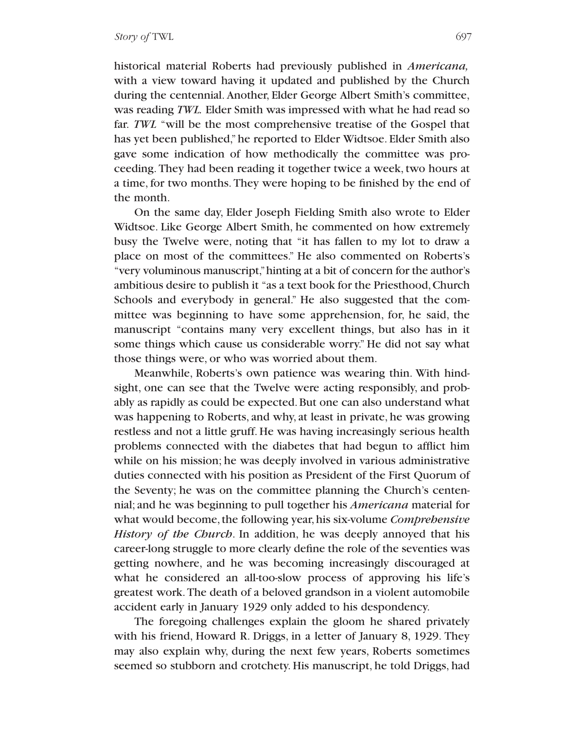historical material Roberts had previously published in *Americana,* with a view toward having it updated and published by the Church during the centennial. Another, Elder George Albert Smith's committee, was reading *TWL.* Elder Smith was impressed with what he had read so far. *TWL* "will be the most comprehensive treatise of the Gospel that has yet been published,"he reported to Elder Widtsoe. Elder Smith also gave some indication of how methodically the committee was proceeding. They had been reading it together twice a week, two hours at a time, for two months. They were hoping to be finished by the end of the month.

On the same day, Elder Joseph Fielding Smith also wrote to Elder Widtsoe. Like George Albert Smith, he commented on how extremely busy the Twelve were, noting that "it has fallen to my lot to draw a place on most of the committees." He also commented on Roberts's "very voluminous manuscript,"hinting at a bit of concern for the author's ambitious desire to publish it "as a text book for the Priesthood,Church Schools and everybody in general." He also suggested that the committee was beginning to have some apprehension, for, he said, the manuscript "contains many very excellent things, but also has in it some things which cause us considerable worry." He did not say what those things were, or who was worried about them.

Meanwhile, Roberts's own patience was wearing thin. With hindsight, one can see that the Twelve were acting responsibly, and probably as rapidly as could be expected. But one can also understand what was happening to Roberts, and why, at least in private, he was growing restless and not a little gruff. He was having increasingly serious health problems connected with the diabetes that had begun to afflict him while on his mission; he was deeply involved in various administrative duties connected with his position as President of the First Quorum of the Seventy; he was on the committee planning the Church's centennial; and he was beginning to pull together his *Americana* material for what would become, the following year, his six-volume *Comprehensive History of the Church*. In addition, he was deeply annoyed that his career-long struggle to more clearly define the role of the seventies was getting nowhere, and he was becoming increasingly discouraged at what he considered an all-too-slow process of approving his life's greatest work.The death of a beloved grandson in a violent automobile accident early in January 1929 only added to his despondency.

The foregoing challenges explain the gloom he shared privately with his friend, Howard R. Driggs, in a letter of January 8, 1929. They may also explain why, during the next few years, Roberts sometimes seemed so stubborn and crotchety. His manuscript, he told Driggs, had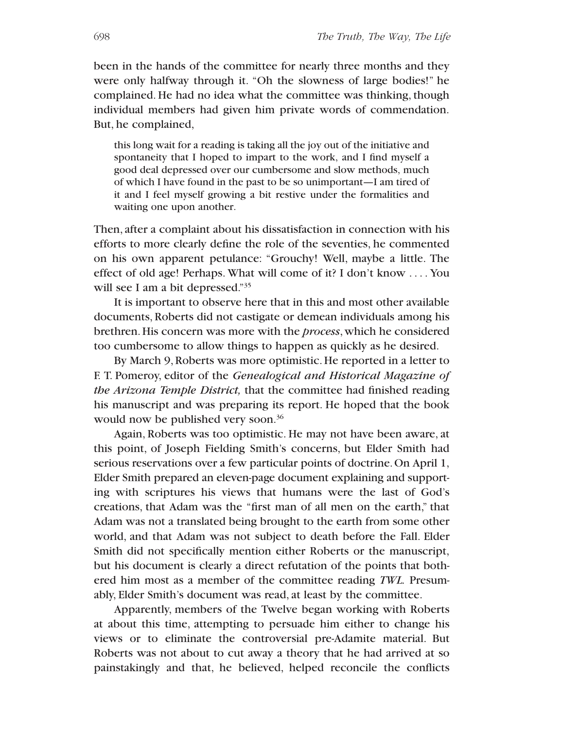been in the hands of the committee for nearly three months and they were only halfway through it. "Oh the slowness of large bodies!" he complained. He had no idea what the committee was thinking, though individual members had given him private words of commendation. But, he complained,

this long wait for a reading is taking all the joy out of the initiative and spontaneity that I hoped to impart to the work, and I find myself a good deal depressed over our cumbersome and slow methods, much of which I have found in the past to be so unimportant—I am tired of it and I feel myself growing a bit restive under the formalities and waiting one upon another.

Then, after a complaint about his dissatisfaction in connection with his efforts to more clearly define the role of the seventies, he commented on his own apparent petulance: "Grouchy! Well, maybe a little. The effect of old age! Perhaps. What will come of it? I don't know . . . . You will see I am a bit depressed."<sup>35</sup>

It is important to observe here that in this and most other available documents, Roberts did not castigate or demean individuals among his brethren. His concern was more with the *process*, which he considered too cumbersome to allow things to happen as quickly as he desired.

By March 9,Roberts was more optimistic.He reported in a letter to F. T. Pomeroy, editor of the *Genealogical and Historical Magazine of the Arizona Temple District,* that the committee had finished reading his manuscript and was preparing its report. He hoped that the book would now be published very soon.<sup>36</sup>

Again, Roberts was too optimistic. He may not have been aware, at this point, of Joseph Fielding Smith's concerns, but Elder Smith had serious reservations over a few particular points of doctrine.On April 1, Elder Smith prepared an eleven-page document explaining and supporting with scriptures his views that humans were the last of God's creations, that Adam was the "first man of all men on the earth," that Adam was not a translated being brought to the earth from some other world, and that Adam was not subject to death before the Fall. Elder Smith did not specifically mention either Roberts or the manuscript, but his document is clearly a direct refutation of the points that bothered him most as a member of the committee reading *TWL.* Presumably, Elder Smith's document was read, at least by the committee.

Apparently, members of the Twelve began working with Roberts at about this time, attempting to persuade him either to change his views or to eliminate the controversial pre-Adamite material. But Roberts was not about to cut away a theory that he had arrived at so painstakingly and that, he believed, helped reconcile the conflicts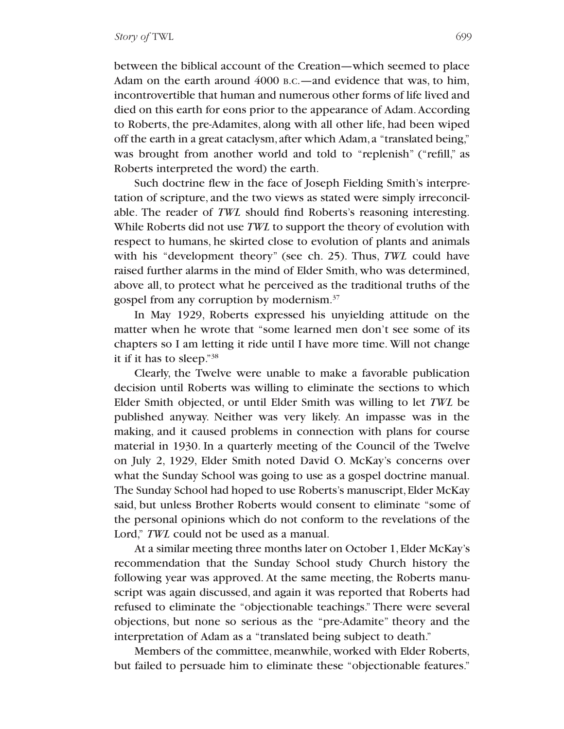between the biblical account of the Creation—which seemed to place Adam on the earth around 4000 B.C.—and evidence that was, to him, incontrovertible that human and numerous other forms of life lived and died on this earth for eons prior to the appearance of Adam.According to Roberts, the pre-Adamites, along with all other life, had been wiped off the earth in a great cataclysm, after which Adam, a "translated being," was brought from another world and told to "replenish" ("refill," as Roberts interpreted the word) the earth.

Such doctrine flew in the face of Joseph Fielding Smith's interpretation of scripture, and the two views as stated were simply irreconcilable. The reader of *TWL* should find Roberts's reasoning interesting. While Roberts did not use *TWL* to support the theory of evolution with respect to humans, he skirted close to evolution of plants and animals with his "development theory" (see ch. 25). Thus, *TWL* could have raised further alarms in the mind of Elder Smith, who was determined, above all, to protect what he perceived as the traditional truths of the gospel from any corruption by modernism.37

In May 1929, Roberts expressed his unyielding attitude on the matter when he wrote that "some learned men don't see some of its chapters so I am letting it ride until I have more time. Will not change it if it has to sleep."38

Clearly, the Twelve were unable to make a favorable publication decision until Roberts was willing to eliminate the sections to which Elder Smith objected, or until Elder Smith was willing to let *TWL* be published anyway. Neither was very likely. An impasse was in the making, and it caused problems in connection with plans for course material in 1930. In a quarterly meeting of the Council of the Twelve on July 2, 1929, Elder Smith noted David O. McKay's concerns over what the Sunday School was going to use as a gospel doctrine manual. The Sunday School had hoped to use Roberts's manuscript, Elder McKay said, but unless Brother Roberts would consent to eliminate "some of the personal opinions which do not conform to the revelations of the Lord," *TWL* could not be used as a manual.

At a similar meeting three months later on October 1, Elder McKay's recommendation that the Sunday School study Church history the following year was approved. At the same meeting, the Roberts manuscript was again discussed, and again it was reported that Roberts had refused to eliminate the "objectionable teachings." There were several objections, but none so serious as the "pre-Adamite" theory and the interpretation of Adam as a "translated being subject to death."

Members of the committee, meanwhile, worked with Elder Roberts, but failed to persuade him to eliminate these "objectionable features."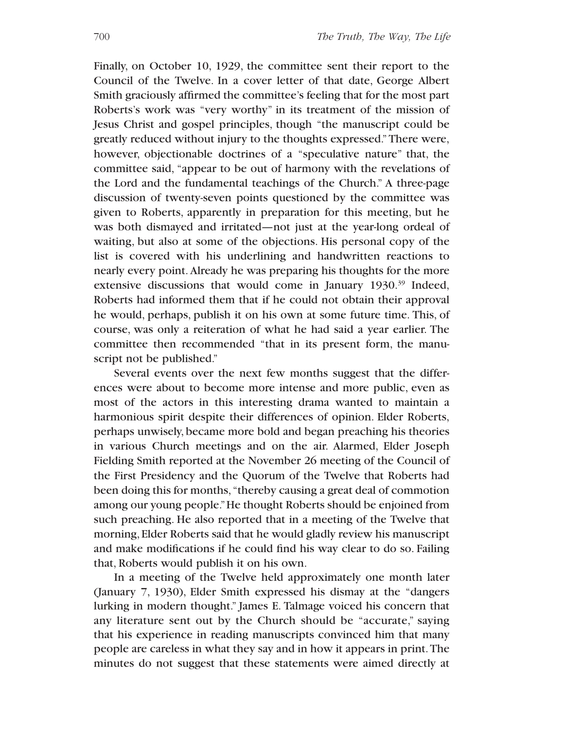Finally, on October 10, 1929, the committee sent their report to the Council of the Twelve. In a cover letter of that date, George Albert Smith graciously affirmed the committee's feeling that for the most part Roberts's work was "very worthy" in its treatment of the mission of Jesus Christ and gospel principles, though "the manuscript could be greatly reduced without injury to the thoughts expressed." There were, however, objectionable doctrines of a "speculative nature" that, the committee said, "appear to be out of harmony with the revelations of the Lord and the fundamental teachings of the Church." A three-page discussion of twenty-seven points questioned by the committee was given to Roberts, apparently in preparation for this meeting, but he was both dismayed and irritated—not just at the year-long ordeal of waiting, but also at some of the objections. His personal copy of the list is covered with his underlining and handwritten reactions to nearly every point.Already he was preparing his thoughts for the more extensive discussions that would come in January 1930.<sup>39</sup> Indeed, Roberts had informed them that if he could not obtain their approval he would, perhaps, publish it on his own at some future time. This, of course, was only a reiteration of what he had said a year earlier. The committee then recommended "that in its present form, the manuscript not be published."

Several events over the next few months suggest that the differences were about to become more intense and more public, even as most of the actors in this interesting drama wanted to maintain a harmonious spirit despite their differences of opinion. Elder Roberts, perhaps unwisely, became more bold and began preaching his theories in various Church meetings and on the air. Alarmed, Elder Joseph Fielding Smith reported at the November 26 meeting of the Council of the First Presidency and the Quorum of the Twelve that Roberts had been doing this for months, "thereby causing a great deal of commotion among our young people."He thought Roberts should be enjoined from such preaching. He also reported that in a meeting of the Twelve that morning, Elder Roberts said that he would gladly review his manuscript and make modifications if he could find his way clear to do so. Failing that, Roberts would publish it on his own.

In a meeting of the Twelve held approximately one month later (January 7, 1930), Elder Smith expressed his dismay at the "dangers lurking in modern thought." James E. Talmage voiced his concern that any literature sent out by the Church should be "accurate," saying that his experience in reading manuscripts convinced him that many people are careless in what they say and in how it appears in print.The minutes do not suggest that these statements were aimed directly at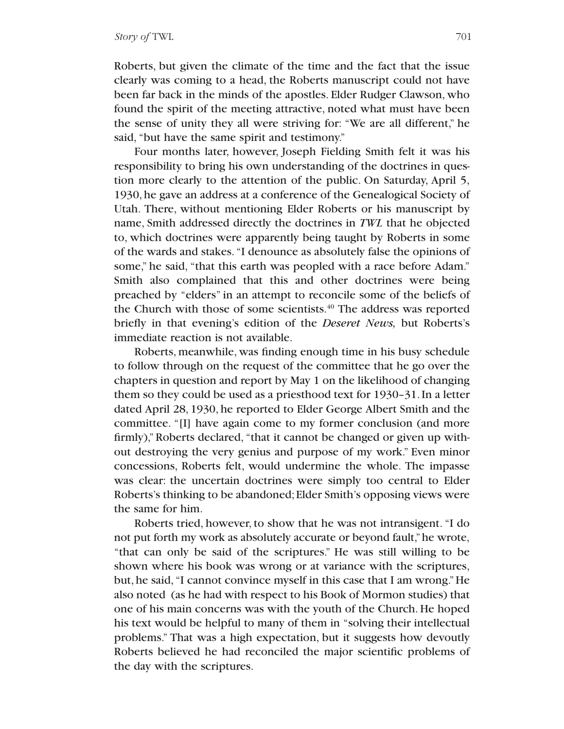Roberts, but given the climate of the time and the fact that the issue clearly was coming to a head, the Roberts manuscript could not have been far back in the minds of the apostles. Elder Rudger Clawson, who found the spirit of the meeting attractive, noted what must have been the sense of unity they all were striving for: "We are all different," he said, "but have the same spirit and testimony."

Four months later, however, Joseph Fielding Smith felt it was his responsibility to bring his own understanding of the doctrines in question more clearly to the attention of the public. On Saturday, April 5, 1930,he gave an address at a conference of the Genealogical Society of Utah. There, without mentioning Elder Roberts or his manuscript by name, Smith addressed directly the doctrines in *TWL* that he objected to, which doctrines were apparently being taught by Roberts in some of the wards and stakes. "I denounce as absolutely false the opinions of some," he said, "that this earth was peopled with a race before Adam." Smith also complained that this and other doctrines were being preached by "elders" in an attempt to reconcile some of the beliefs of the Church with those of some scientists.<sup>40</sup> The address was reported briefly in that evening's edition of the *Deseret News,* but Roberts's immediate reaction is not available.

Roberts, meanwhile, was finding enough time in his busy schedule to follow through on the request of the committee that he go over the chapters in question and report by May 1 on the likelihood of changing them so they could be used as a priesthood text for 1930–31.In a letter dated April 28, 1930, he reported to Elder George Albert Smith and the committee. "[I] have again come to my former conclusion (and more firmly),"Roberts declared, "that it cannot be changed or given up without destroying the very genius and purpose of my work." Even minor concessions, Roberts felt, would undermine the whole. The impasse was clear: the uncertain doctrines were simply too central to Elder Roberts's thinking to be abandoned; Elder Smith's opposing views were the same for him.

Roberts tried, however, to show that he was not intransigent. "I do not put forth my work as absolutely accurate or beyond fault,"he wrote, "that can only be said of the scriptures." He was still willing to be shown where his book was wrong or at variance with the scriptures, but, he said, "I cannot convince myself in this case that I am wrong."He also noted (as he had with respect to his Book of Mormon studies) that one of his main concerns was with the youth of the Church. He hoped his text would be helpful to many of them in "solving their intellectual problems." That was a high expectation, but it suggests how devoutly Roberts believed he had reconciled the major scientific problems of the day with the scriptures.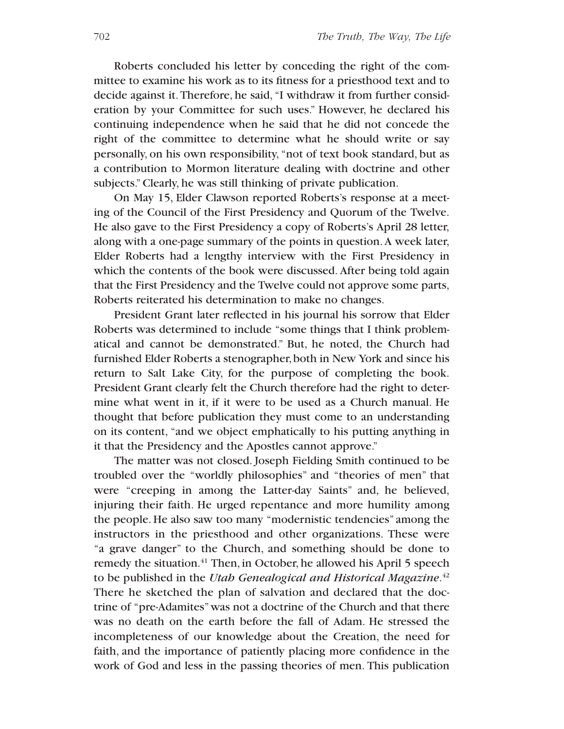Roberts concluded his letter by conceding the right of the committee to examine his work as to its fitness for a priesthood text and to decide against it. Therefore, he said, "I withdraw it from further consideration by your Committee for such uses." However, he declared his continuing independence when he said that he did not concede the right of the committee to determine what he should write or say personally, on his own responsibility, "not of text book standard, but as a contribution to Mormon literature dealing with doctrine and other subjects."Clearly, he was still thinking of private publication.

On May 15, Elder Clawson reported Roberts's response at a meeting of the Council of the First Presidency and Quorum of the Twelve. He also gave to the First Presidency a copy of Roberts's April 28 letter, along with a one-page summary of the points in question.A week later, Elder Roberts had a lengthy interview with the First Presidency in which the contents of the book were discussed. After being told again that the First Presidency and the Twelve could not approve some parts, Roberts reiterated his determination to make no changes.

President Grant later reflected in his journal his sorrow that Elder Roberts was determined to include "some things that I think problematical and cannot be demonstrated." But, he noted, the Church had furnished Elder Roberts a stenographer, both in New York and since his return to Salt Lake City, for the purpose of completing the book. President Grant clearly felt the Church therefore had the right to determine what went in it, if it were to be used as a Church manual. He thought that before publication they must come to an understanding on its content, "and we object emphatically to his putting anything in it that the Presidency and the Apostles cannot approve."

The matter was not closed. Joseph Fielding Smith continued to be troubled over the "worldly philosophies" and "theories of men" that were "creeping in among the Latter-day Saints" and, he believed, injuring their faith. He urged repentance and more humility among the people. He also saw too many "modernistic tendencies" among the instructors in the priesthood and other organizations. These were "a grave danger" to the Church, and something should be done to remedy the situation.<sup>41</sup> Then, in October, he allowed his April 5 speech to be published in the *Utah Genealogical and Historical Magazine*. 42 There he sketched the plan of salvation and declared that the doctrine of "pre-Adamites"was not a doctrine of the Church and that there was no death on the earth before the fall of Adam. He stressed the incompleteness of our knowledge about the Creation, the need for faith, and the importance of patiently placing more confidence in the work of God and less in the passing theories of men. This publication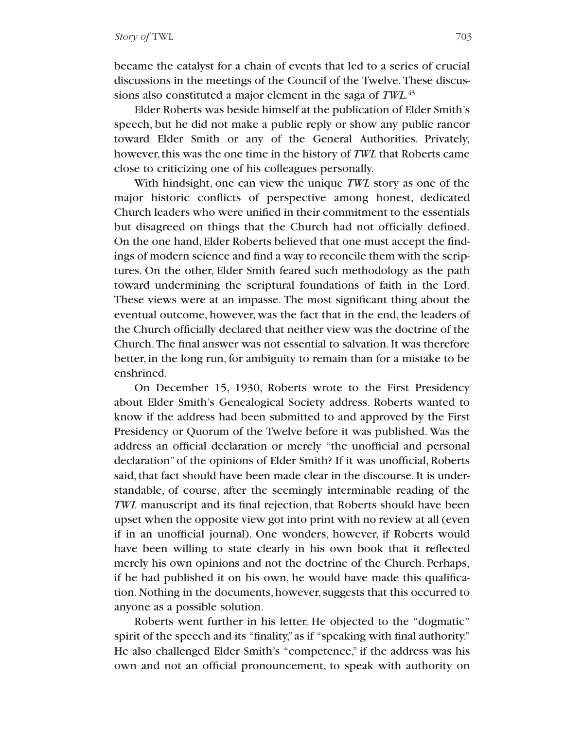became the catalyst for a chain of events that led to a series of crucial discussions in the meetings of the Council of the Twelve.These discussions also constituted a major element in the saga of *TWL.*<sup>43</sup>

Elder Roberts was beside himself at the publication of Elder Smith's speech, but he did not make a public reply or show any public rancor toward Elder Smith or any of the General Authorities. Privately, however, this was the one time in the history of *TWL* that Roberts came close to criticizing one of his colleagues personally.

With hindsight, one can view the unique *TWL* story as one of the major historic conflicts of perspective among honest, dedicated Church leaders who were unified in their commitment to the essentials but disagreed on things that the Church had not officially defined. On the one hand, Elder Roberts believed that one must accept the findings of modern science and find a way to reconcile them with the scriptures. On the other, Elder Smith feared such methodology as the path toward undermining the scriptural foundations of faith in the Lord. These views were at an impasse. The most significant thing about the eventual outcome, however, was the fact that in the end, the leaders of the Church officially declared that neither view was the doctrine of the Church. The final answer was not essential to salvation. It was therefore better, in the long run, for ambiguity to remain than for a mistake to be enshrined.

On December 15, 1930, Roberts wrote to the First Presidency about Elder Smith's Genealogical Society address. Roberts wanted to know if the address had been submitted to and approved by the First Presidency or Quorum of the Twelve before it was published. Was the address an official declaration or merely "the unofficial and personal declaration" of the opinions of Elder Smith? If it was unofficial, Roberts said, that fact should have been made clear in the discourse. It is understandable, of course, after the seemingly interminable reading of the *TWL* manuscript and its final rejection, that Roberts should have been upset when the opposite view got into print with no review at all (even if in an unofficial journal). One wonders, however, if Roberts would have been willing to state clearly in his own book that it reflected merely his own opinions and not the doctrine of the Church. Perhaps, if he had published it on his own, he would have made this qualification. Nothing in the documents, however, suggests that this occurred to anyone as a possible solution.

Roberts went further in his letter. He objected to the "dogmatic" spirit of the speech and its "finality,"as if "speaking with final authority." He also challenged Elder Smith's "competence," if the address was his own and not an official pronouncement, to speak with authority on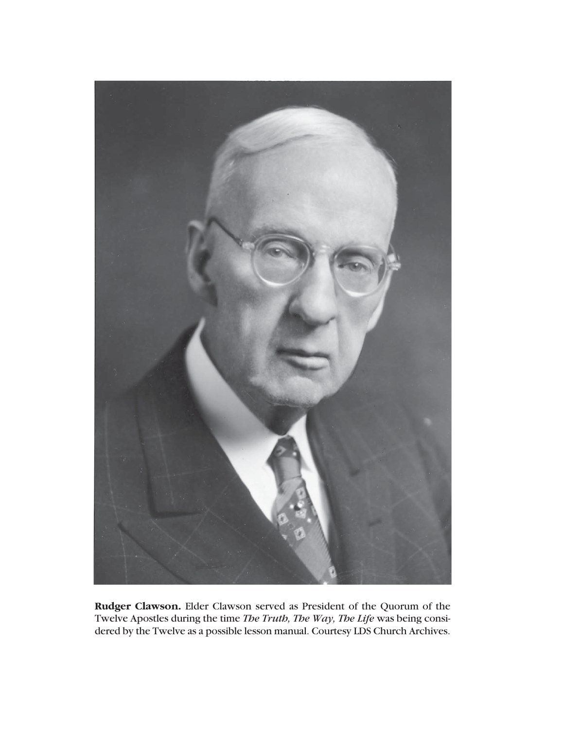

**Rudger Clawson.** Elder Clawson served as President of the Quorum of the Twelve Apostles during the time *The Truth, The Way, The Life* was being considered by the Twelve as a possible lesson manual. Courtesy LDS Church Archives.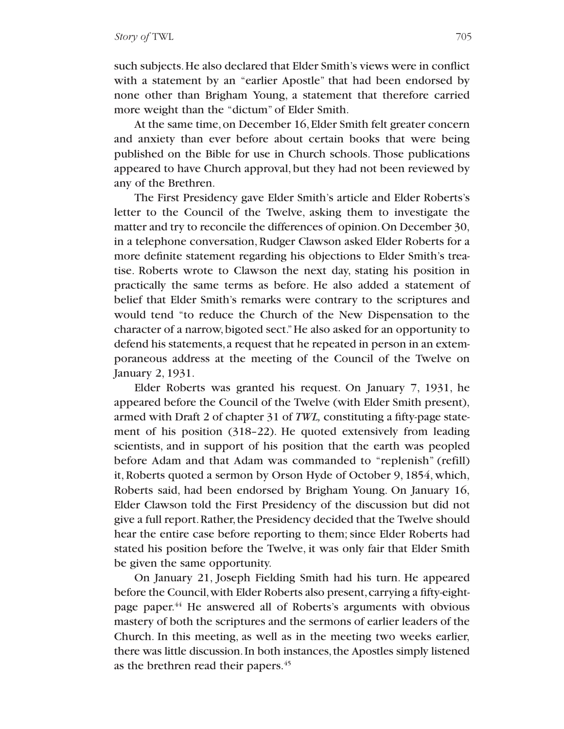such subjects.He also declared that Elder Smith's views were in conflict with a statement by an "earlier Apostle" that had been endorsed by none other than Brigham Young, a statement that therefore carried more weight than the "dictum" of Elder Smith.

At the same time, on December 16, Elder Smith felt greater concern and anxiety than ever before about certain books that were being published on the Bible for use in Church schools. Those publications appeared to have Church approval, but they had not been reviewed by any of the Brethren.

The First Presidency gave Elder Smith's article and Elder Roberts's letter to the Council of the Twelve, asking them to investigate the matter and try to reconcile the differences of opinion. On December 30, in a telephone conversation, Rudger Clawson asked Elder Roberts for a more definite statement regarding his objections to Elder Smith's treatise. Roberts wrote to Clawson the next day, stating his position in practically the same terms as before. He also added a statement of belief that Elder Smith's remarks were contrary to the scriptures and would tend "to reduce the Church of the New Dispensation to the character of a narrow, bigoted sect."He also asked for an opportunity to defend his statements,a request that he repeated in person in an extemporaneous address at the meeting of the Council of the Twelve on January 2, 1931.

Elder Roberts was granted his request. On January 7, 1931, he appeared before the Council of the Twelve (with Elder Smith present), armed with Draft 2 of chapter 31 of *TWL,* constituting a fifty-page statement of his position (318–22). He quoted extensively from leading scientists, and in support of his position that the earth was peopled before Adam and that Adam was commanded to "replenish" (refill) it, Roberts quoted a sermon by Orson Hyde of October 9, 1854, which, Roberts said, had been endorsed by Brigham Young. On January 16, Elder Clawson told the First Presidency of the discussion but did not give a full report.Rather, the Presidency decided that the Twelve should hear the entire case before reporting to them; since Elder Roberts had stated his position before the Twelve, it was only fair that Elder Smith be given the same opportunity.

On January 21, Joseph Fielding Smith had his turn. He appeared before the Council,with Elder Roberts also present,carrying a fifty-eightpage paper.<sup>44</sup> He answered all of Roberts's arguments with obvious mastery of both the scriptures and the sermons of earlier leaders of the Church. In this meeting, as well as in the meeting two weeks earlier, there was little discussion. In both instances, the Apostles simply listened as the brethren read their papers.<sup>45</sup>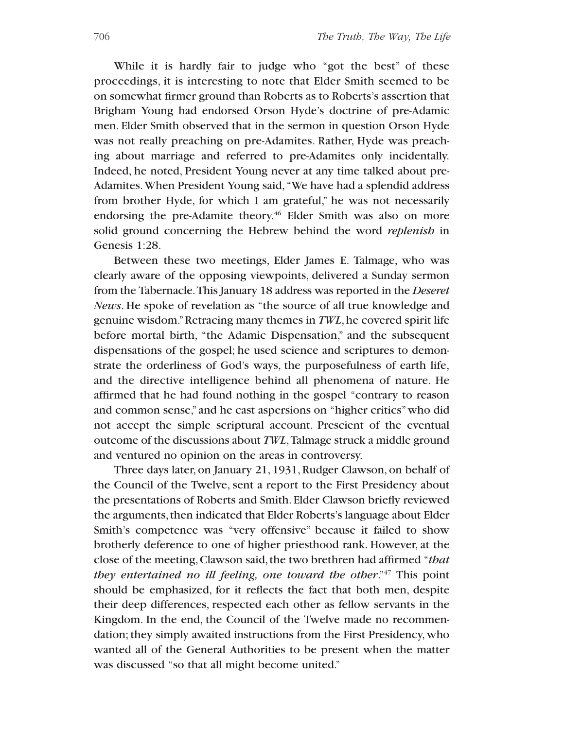While it is hardly fair to judge who "got the best" of these proceedings, it is interesting to note that Elder Smith seemed to be on somewhat firmer ground than Roberts as to Roberts's assertion that Brigham Young had endorsed Orson Hyde's doctrine of pre-Adamic men. Elder Smith observed that in the sermon in question Orson Hyde was not really preaching on pre-Adamites. Rather, Hyde was preaching about marriage and referred to pre-Adamites only incidentally. Indeed, he noted, President Young never at any time talked about pre-Adamites.When President Young said, "We have had a splendid address from brother Hyde, for which I am grateful," he was not necessarily endorsing the pre-Adamite theory.<sup>46</sup> Elder Smith was also on more solid ground concerning the Hebrew behind the word *replenish* in Genesis 1:28.

Between these two meetings, Elder James E. Talmage, who was clearly aware of the opposing viewpoints, delivered a Sunday sermon from the Tabernacle.This January 18 address was reported in the *Deseret News*. He spoke of revelation as "the source of all true knowledge and genuine wisdom."Retracing many themes in *TWL*, he covered spirit life before mortal birth, "the Adamic Dispensation," and the subsequent dispensations of the gospel; he used science and scriptures to demonstrate the orderliness of God's ways, the purposefulness of earth life, and the directive intelligence behind all phenomena of nature. He affirmed that he had found nothing in the gospel "contrary to reason and common sense," and he cast aspersions on "higher critics"who did not accept the simple scriptural account. Prescient of the eventual outcome of the discussions about *TWL*,Talmage struck a middle ground and ventured no opinion on the areas in controversy.

Three days later, on January 21, 1931, Rudger Clawson, on behalf of the Council of the Twelve, sent a report to the First Presidency about the presentations of Roberts and Smith.Elder Clawson briefly reviewed the arguments, then indicated that Elder Roberts's language about Elder Smith's competence was "very offensive" because it failed to show brotherly deference to one of higher priesthood rank. However, at the close of the meeting,Clawson said, the two brethren had affirmed "*that they entertained no ill feeling, one toward the other*."47 This point should be emphasized, for it reflects the fact that both men, despite their deep differences, respected each other as fellow servants in the Kingdom. In the end, the Council of the Twelve made no recommendation;they simply awaited instructions from the First Presidency, who wanted all of the General Authorities to be present when the matter was discussed "so that all might become united."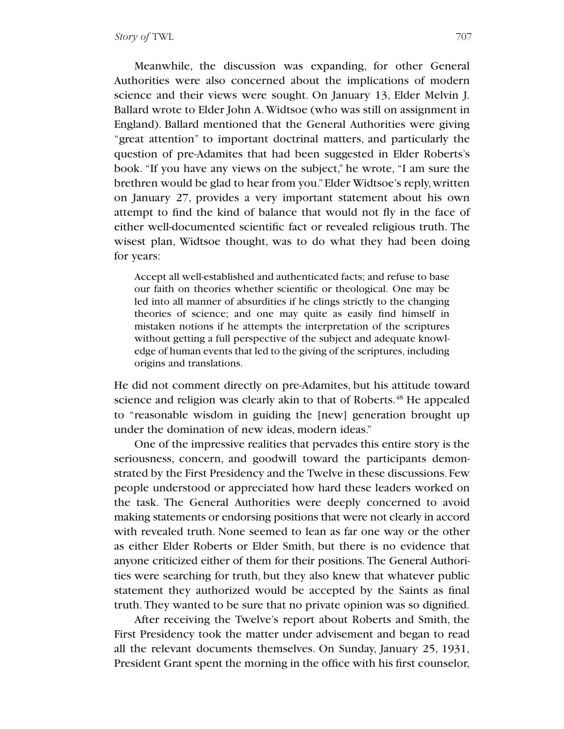Meanwhile, the discussion was expanding, for other General Authorities were also concerned about the implications of modern science and their views were sought. On January 13, Elder Melvin J. Ballard wrote to Elder John A.Widtsoe (who was still on assignment in England). Ballard mentioned that the General Authorities were giving "great attention" to important doctrinal matters, and particularly the question of pre-Adamites that had been suggested in Elder Roberts's book. "If you have any views on the subject," he wrote, "I am sure the brethren would be glad to hear from you."Elder Widtsoe's reply,written on January 27, provides a very important statement about his own attempt to find the kind of balance that would not fly in the face of either well-documented scientific fact or revealed religious truth. The wisest plan, Widtsoe thought, was to do what they had been doing for years:

Accept all well-established and authenticated facts; and refuse to base our faith on theories whether scientific or theological. One may be led into all manner of absurdities if he clings strictly to the changing theories of science; and one may quite as easily find himself in mistaken notions if he attempts the interpretation of the scriptures without getting a full perspective of the subject and adequate knowledge of human events that led to the giving of the scriptures, including origins and translations.

He did not comment directly on pre-Adamites, but his attitude toward science and religion was clearly akin to that of Roberts.<sup>48</sup> He appealed to "reasonable wisdom in guiding the [new] generation brought up under the domination of new ideas, modern ideas."

One of the impressive realities that pervades this entire story is the seriousness, concern, and goodwill toward the participants demonstrated by the First Presidency and the Twelve in these discussions. Few people understood or appreciated how hard these leaders worked on the task. The General Authorities were deeply concerned to avoid making statements or endorsing positions that were not clearly in accord with revealed truth. None seemed to lean as far one way or the other as either Elder Roberts or Elder Smith, but there is no evidence that anyone criticized either of them for their positions. The General Authorities were searching for truth, but they also knew that whatever public statement they authorized would be accepted by the Saints as final truth.They wanted to be sure that no private opinion was so dignified.

After receiving the Twelve's report about Roberts and Smith, the First Presidency took the matter under advisement and began to read all the relevant documents themselves. On Sunday, January 25, 1931, President Grant spent the morning in the office with his first counselor,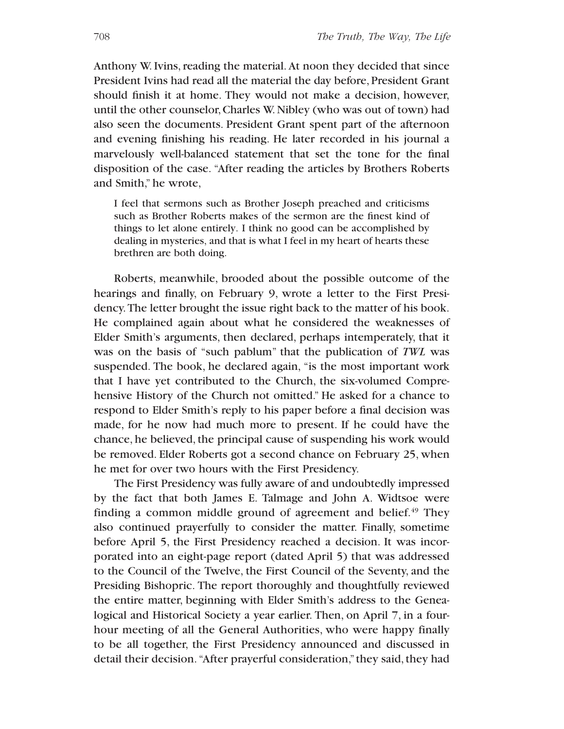Anthony W. Ivins, reading the material. At noon they decided that since President Ivins had read all the material the day before, President Grant should finish it at home. They would not make a decision, however, until the other counselor,Charles W.Nibley (who was out of town) had also seen the documents. President Grant spent part of the afternoon and evening finishing his reading. He later recorded in his journal a marvelously well-balanced statement that set the tone for the final disposition of the case. "After reading the articles by Brothers Roberts and Smith," he wrote,

I feel that sermons such as Brother Joseph preached and criticisms such as Brother Roberts makes of the sermon are the finest kind of things to let alone entirely. I think no good can be accomplished by dealing in mysteries, and that is what I feel in my heart of hearts these brethren are both doing.

Roberts, meanwhile, brooded about the possible outcome of the hearings and finally, on February 9, wrote a letter to the First Presidency.The letter brought the issue right back to the matter of his book. He complained again about what he considered the weaknesses of Elder Smith's arguments, then declared, perhaps intemperately, that it was on the basis of "such pablum" that the publication of *TWL* was suspended. The book, he declared again, "is the most important work that I have yet contributed to the Church, the six-volumed Comprehensive History of the Church not omitted." He asked for a chance to respond to Elder Smith's reply to his paper before a final decision was made, for he now had much more to present. If he could have the chance, he believed, the principal cause of suspending his work would be removed. Elder Roberts got a second chance on February 25, when he met for over two hours with the First Presidency.

The First Presidency was fully aware of and undoubtedly impressed by the fact that both James E. Talmage and John A. Widtsoe were finding a common middle ground of agreement and belief. $49$  They also continued prayerfully to consider the matter. Finally, sometime before April 5, the First Presidency reached a decision. It was incorporated into an eight-page report (dated April 5) that was addressed to the Council of the Twelve, the First Council of the Seventy, and the Presiding Bishopric. The report thoroughly and thoughtfully reviewed the entire matter, beginning with Elder Smith's address to the Genealogical and Historical Society a year earlier. Then, on April 7, in a fourhour meeting of all the General Authorities, who were happy finally to be all together, the First Presidency announced and discussed in detail their decision. "After prayerful consideration," they said, they had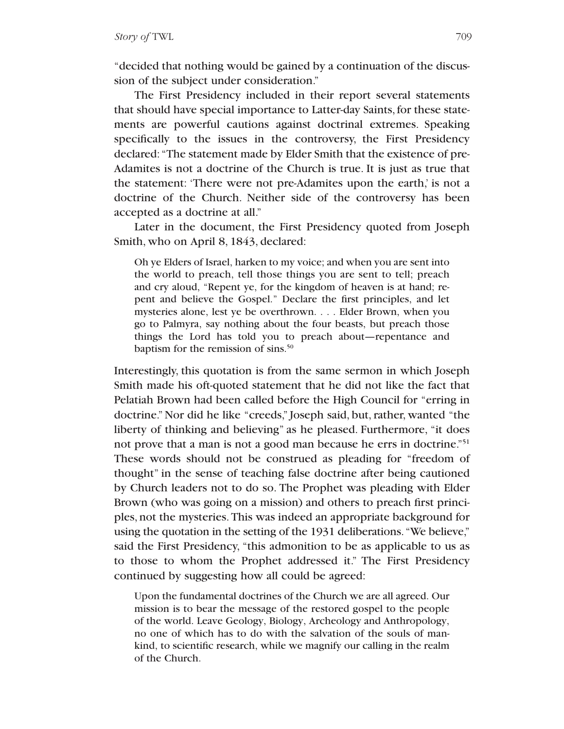"decided that nothing would be gained by a continuation of the discussion of the subject under consideration."

The First Presidency included in their report several statements that should have special importance to Latter-day Saints,for these statements are powerful cautions against doctrinal extremes. Speaking specifically to the issues in the controversy, the First Presidency declared: "The statement made by Elder Smith that the existence of pre-Adamites is not a doctrine of the Church is true. It is just as true that the statement: 'There were not pre-Adamites upon the earth,' is not a doctrine of the Church. Neither side of the controversy has been accepted as a doctrine at all."

Later in the document, the First Presidency quoted from Joseph Smith, who on April 8, 1843, declared:

Oh ye Elders of Israel, harken to my voice; and when you are sent into the world to preach, tell those things you are sent to tell; preach and cry aloud, "Repent ye, for the kingdom of heaven is at hand; repent and believe the Gospel." Declare the first principles, and let mysteries alone, lest ye be overthrown. . . . Elder Brown, when you go to Palmyra, say nothing about the four beasts, but preach those things the Lord has told you to preach about—repentance and baptism for the remission of sins.<sup>50</sup>

Interestingly, this quotation is from the same sermon in which Joseph Smith made his oft-quoted statement that he did not like the fact that Pelatiah Brown had been called before the High Council for "erring in doctrine." Nor did he like "creeds," Joseph said, but, rather, wanted "the liberty of thinking and believing" as he pleased. Furthermore, "it does not prove that a man is not a good man because he errs in doctrine."<sup>51</sup> These words should not be construed as pleading for "freedom of thought" in the sense of teaching false doctrine after being cautioned by Church leaders not to do so. The Prophet was pleading with Elder Brown (who was going on a mission) and others to preach first principles, not the mysteries.This was indeed an appropriate background for using the quotation in the setting of the 1931 deliberations. "We believe," said the First Presidency, "this admonition to be as applicable to us as to those to whom the Prophet addressed it." The First Presidency continued by suggesting how all could be agreed:

Upon the fundamental doctrines of the Church we are all agreed. Our mission is to bear the message of the restored gospel to the people of the world. Leave Geology, Biology, Archeology and Anthropology, no one of which has to do with the salvation of the souls of mankind, to scientific research, while we magnify our calling in the realm of the Church.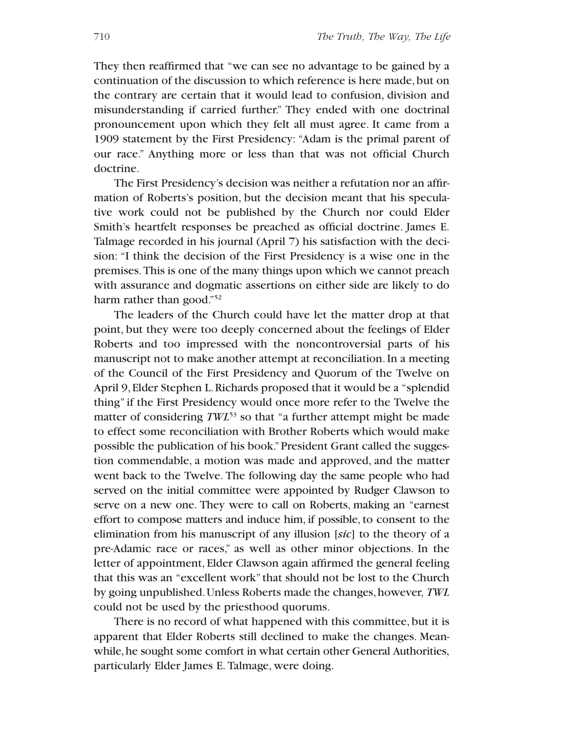They then reaffirmed that "we can see no advantage to be gained by a continuation of the discussion to which reference is here made, but on the contrary are certain that it would lead to confusion, division and misunderstanding if carried further." They ended with one doctrinal pronouncement upon which they felt all must agree. It came from a 1909 statement by the First Presidency: "Adam is the primal parent of our race." Anything more or less than that was not official Church doctrine.

The First Presidency's decision was neither a refutation nor an affirmation of Roberts's position, but the decision meant that his speculative work could not be published by the Church nor could Elder Smith's heartfelt responses be preached as official doctrine. James E. Talmage recorded in his journal (April 7) his satisfaction with the decision: "I think the decision of the First Presidency is a wise one in the premises.This is one of the many things upon which we cannot preach with assurance and dogmatic assertions on either side are likely to do harm rather than good."<sup>52</sup>

The leaders of the Church could have let the matter drop at that point, but they were too deeply concerned about the feelings of Elder Roberts and too impressed with the noncontroversial parts of his manuscript not to make another attempt at reconciliation.In a meeting of the Council of the First Presidency and Quorum of the Twelve on April 9, Elder Stephen L.Richards proposed that it would be a "splendid thing" if the First Presidency would once more refer to the Twelve the matter of considering *TWL*<sup>53</sup> so that "a further attempt might be made to effect some reconciliation with Brother Roberts which would make possible the publication of his book." President Grant called the suggestion commendable, a motion was made and approved, and the matter went back to the Twelve. The following day the same people who had served on the initial committee were appointed by Rudger Clawson to serve on a new one. They were to call on Roberts, making an "earnest effort to compose matters and induce him, if possible, to consent to the elimination from his manuscript of any illusion [*sic*] to the theory of a pre-Adamic race or races," as well as other minor objections. In the letter of appointment, Elder Clawson again affirmed the general feeling that this was an "excellent work" that should not be lost to the Church by going unpublished.Unless Roberts made the changes,however, *TWL* could not be used by the priesthood quorums.

There is no record of what happened with this committee, but it is apparent that Elder Roberts still declined to make the changes. Meanwhile, he sought some comfort in what certain other General Authorities, particularly Elder James E. Talmage, were doing.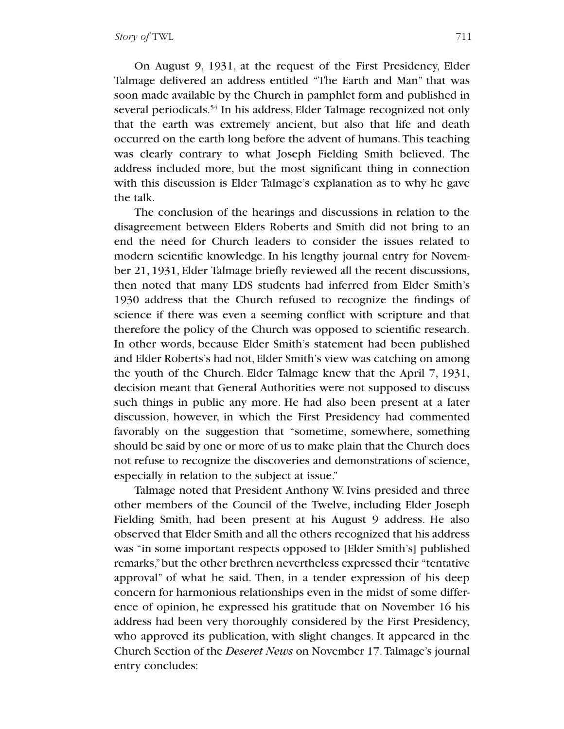On August 9, 1931, at the request of the First Presidency, Elder Talmage delivered an address entitled "The Earth and Man" that was soon made available by the Church in pamphlet form and published in several periodicals.<sup>54</sup> In his address, Elder Talmage recognized not only that the earth was extremely ancient, but also that life and death occurred on the earth long before the advent of humans. This teaching was clearly contrary to what Joseph Fielding Smith believed. The address included more, but the most significant thing in connection with this discussion is Elder Talmage's explanation as to why he gave the talk.

The conclusion of the hearings and discussions in relation to the disagreement between Elders Roberts and Smith did not bring to an end the need for Church leaders to consider the issues related to modern scientific knowledge. In his lengthy journal entry for November 21, 1931, Elder Talmage briefly reviewed all the recent discussions, then noted that many LDS students had inferred from Elder Smith's 1930 address that the Church refused to recognize the findings of science if there was even a seeming conflict with scripture and that therefore the policy of the Church was opposed to scientific research. In other words, because Elder Smith's statement had been published and Elder Roberts's had not, Elder Smith's view was catching on among the youth of the Church. Elder Talmage knew that the April 7, 1931, decision meant that General Authorities were not supposed to discuss such things in public any more. He had also been present at a later discussion, however, in which the First Presidency had commented favorably on the suggestion that "sometime, somewhere, something should be said by one or more of us to make plain that the Church does not refuse to recognize the discoveries and demonstrations of science, especially in relation to the subject at issue."

Talmage noted that President Anthony W. Ivins presided and three other members of the Council of the Twelve, including Elder Joseph Fielding Smith, had been present at his August 9 address. He also observed that Elder Smith and all the others recognized that his address was "in some important respects opposed to [Elder Smith's] published remarks,"but the other brethren nevertheless expressed their "tentative approval" of what he said. Then, in a tender expression of his deep concern for harmonious relationships even in the midst of some difference of opinion, he expressed his gratitude that on November 16 his address had been very thoroughly considered by the First Presidency, who approved its publication, with slight changes. It appeared in the Church Section of the *Deseret News* on November 17.Talmage's journal entry concludes: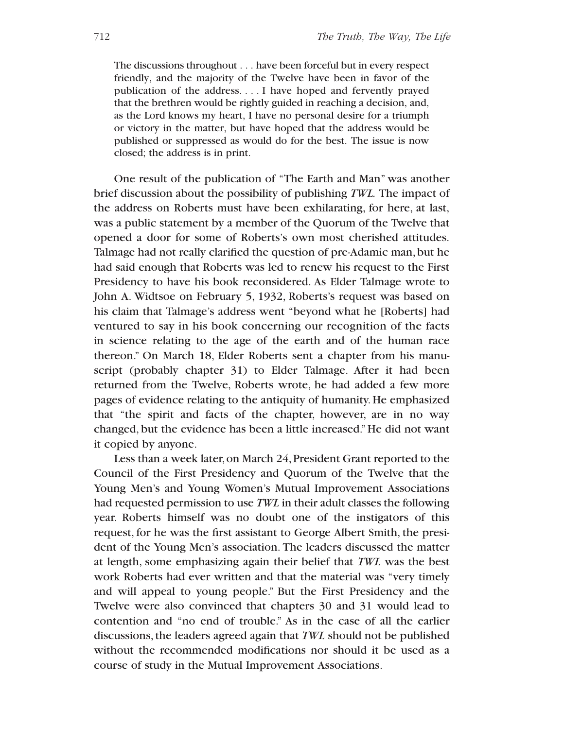The discussions throughout . . . have been forceful but in every respect friendly, and the majority of the Twelve have been in favor of the publication of the address. . . . I have hoped and fervently prayed that the brethren would be rightly guided in reaching a decision, and, as the Lord knows my heart, I have no personal desire for a triumph or victory in the matter, but have hoped that the address would be published or suppressed as would do for the best. The issue is now closed; the address is in print.

One result of the publication of "The Earth and Man" was another brief discussion about the possibility of publishing *TWL.* The impact of the address on Roberts must have been exhilarating, for here, at last, was a public statement by a member of the Quorum of the Twelve that opened a door for some of Roberts's own most cherished attitudes. Talmage had not really clarified the question of pre-Adamic man,but he had said enough that Roberts was led to renew his request to the First Presidency to have his book reconsidered. As Elder Talmage wrote to John A. Widtsoe on February 5, 1932, Roberts's request was based on his claim that Talmage's address went "beyond what he [Roberts] had ventured to say in his book concerning our recognition of the facts in science relating to the age of the earth and of the human race thereon." On March 18, Elder Roberts sent a chapter from his manuscript (probably chapter 31) to Elder Talmage. After it had been returned from the Twelve, Roberts wrote, he had added a few more pages of evidence relating to the antiquity of humanity. He emphasized that "the spirit and facts of the chapter, however, are in no way changed, but the evidence has been a little increased."He did not want it copied by anyone.

Less than a week later,on March 24,President Grant reported to the Council of the First Presidency and Quorum of the Twelve that the Young Men's and Young Women's Mutual Improvement Associations had requested permission to use *TWL* in their adult classes the following year. Roberts himself was no doubt one of the instigators of this request, for he was the first assistant to George Albert Smith, the president of the Young Men's association. The leaders discussed the matter at length, some emphasizing again their belief that *TWL* was the best work Roberts had ever written and that the material was "very timely and will appeal to young people." But the First Presidency and the Twelve were also convinced that chapters 30 and 31 would lead to contention and "no end of trouble." As in the case of all the earlier discussions,the leaders agreed again that *TWL* should not be published without the recommended modifications nor should it be used as a course of study in the Mutual Improvement Associations.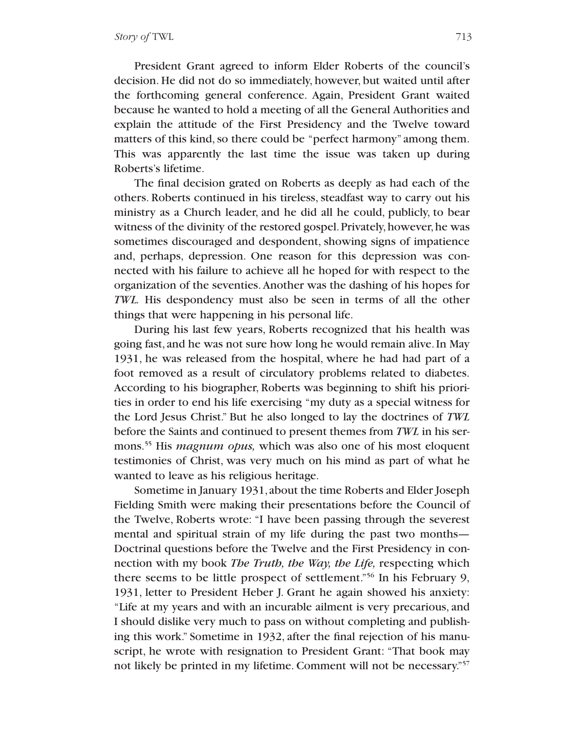President Grant agreed to inform Elder Roberts of the council's decision. He did not do so immediately, however, but waited until after the forthcoming general conference. Again, President Grant waited because he wanted to hold a meeting of all the General Authorities and explain the attitude of the First Presidency and the Twelve toward matters of this kind, so there could be "perfect harmony" among them. This was apparently the last time the issue was taken up during Roberts's lifetime.

The final decision grated on Roberts as deeply as had each of the others. Roberts continued in his tireless, steadfast way to carry out his ministry as a Church leader, and he did all he could, publicly, to bear witness of the divinity of the restored gospel. Privately, however, he was sometimes discouraged and despondent, showing signs of impatience and, perhaps, depression. One reason for this depression was connected with his failure to achieve all he hoped for with respect to the organization of the seventies.Another was the dashing of his hopes for *TWL.* His despondency must also be seen in terms of all the other things that were happening in his personal life.

During his last few years, Roberts recognized that his health was going fast, and he was not sure how long he would remain alive.In May 1931, he was released from the hospital, where he had had part of a foot removed as a result of circulatory problems related to diabetes. According to his biographer, Roberts was beginning to shift his priorities in order to end his life exercising "my duty as a special witness for the Lord Jesus Christ." But he also longed to lay the doctrines of *TWL* before the Saints and continued to present themes from *TWL* in his sermons.55 His *magnum opus,* which was also one of his most eloquent testimonies of Christ, was very much on his mind as part of what he wanted to leave as his religious heritage.

Sometime in January 1931,about the time Roberts and Elder Joseph Fielding Smith were making their presentations before the Council of the Twelve, Roberts wrote: "I have been passing through the severest mental and spiritual strain of my life during the past two months— Doctrinal questions before the Twelve and the First Presidency in connection with my book *The Truth, the Way, the Life,* respecting which there seems to be little prospect of settlement."56 In his February 9, 1931, letter to President Heber J. Grant he again showed his anxiety: "Life at my years and with an incurable ailment is very precarious, and I should dislike very much to pass on without completing and publishing this work." Sometime in 1932, after the final rejection of his manuscript, he wrote with resignation to President Grant: "That book may not likely be printed in my lifetime. Comment will not be necessary."57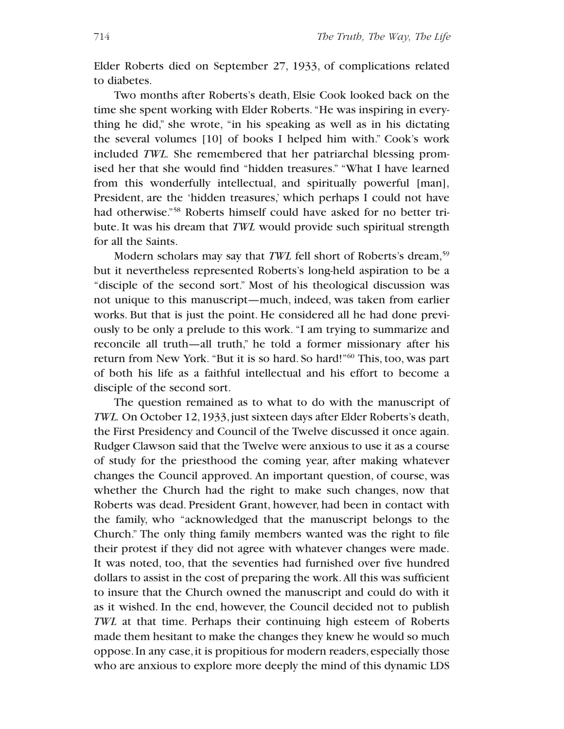Elder Roberts died on September 27, 1933, of complications related to diabetes.

Two months after Roberts's death, Elsie Cook looked back on the time she spent working with Elder Roberts. "He was inspiring in everything he did," she wrote, "in his speaking as well as in his dictating the several volumes [10] of books I helped him with." Cook's work included *TWL.* She remembered that her patriarchal blessing promised her that she would find "hidden treasures." "What I have learned from this wonderfully intellectual, and spiritually powerful [man], President, are the 'hidden treasures,' which perhaps I could not have had otherwise."58 Roberts himself could have asked for no better tribute. It was his dream that *TWL* would provide such spiritual strength for all the Saints.

Modern scholars may say that *TWL* fell short of Roberts's dream,<sup>59</sup> but it nevertheless represented Roberts's long-held aspiration to be a "disciple of the second sort." Most of his theological discussion was not unique to this manuscript—much, indeed, was taken from earlier works. But that is just the point. He considered all he had done previously to be only a prelude to this work. "I am trying to summarize and reconcile all truth—all truth," he told a former missionary after his return from New York. "But it is so hard. So hard!"60 This, too, was part of both his life as a faithful intellectual and his effort to become a disciple of the second sort.

The question remained as to what to do with the manuscript of *TWL*. On October 12, 1933, just sixteen days after Elder Roberts's death, the First Presidency and Council of the Twelve discussed it once again. Rudger Clawson said that the Twelve were anxious to use it as a course of study for the priesthood the coming year, after making whatever changes the Council approved. An important question, of course, was whether the Church had the right to make such changes, now that Roberts was dead. President Grant, however, had been in contact with the family, who "acknowledged that the manuscript belongs to the Church." The only thing family members wanted was the right to file their protest if they did not agree with whatever changes were made. It was noted, too, that the seventies had furnished over five hundred dollars to assist in the cost of preparing the work.All this was sufficient to insure that the Church owned the manuscript and could do with it as it wished. In the end, however, the Council decided not to publish *TWL* at that time. Perhaps their continuing high esteem of Roberts made them hesitant to make the changes they knew he would so much oppose. In any case, it is propitious for modern readers, especially those who are anxious to explore more deeply the mind of this dynamic LDS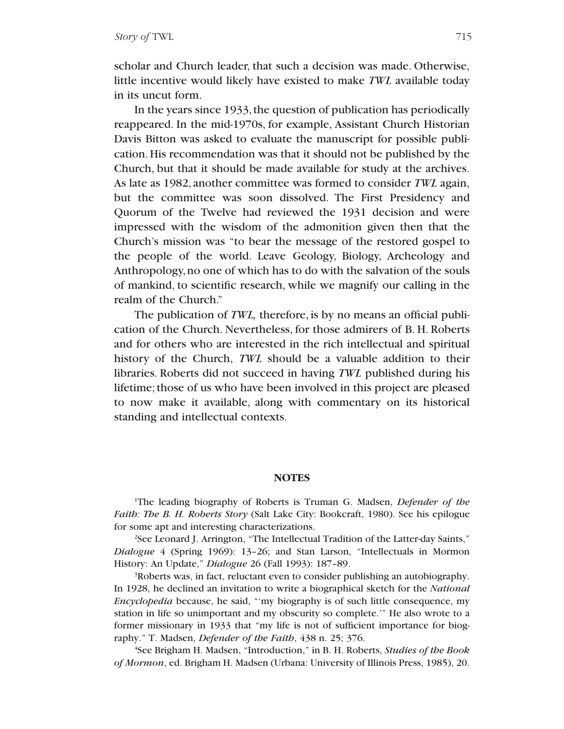scholar and Church leader, that such a decision was made. Otherwise, little incentive would likely have existed to make *TWL* available today in its uncut form.

In the years since 1933, the question of publication has periodically reappeared. In the mid-1970s, for example, Assistant Church Historian Davis Bitton was asked to evaluate the manuscript for possible publication.His recommendation was that it should not be published by the Church, but that it should be made available for study at the archives. As late as 1982, another committee was formed to consider *TWL* again, but the committee was soon dissolved. The First Presidency and Quorum of the Twelve had reviewed the 1931 decision and were impressed with the wisdom of the admonition given then that the Church's mission was "to bear the message of the restored gospel to the people of the world. Leave Geology, Biology, Archeology and Anthropology, no one of which has to do with the salvation of the souls of mankind, to scientific research, while we magnify our calling in the realm of the Church."

The publication of *TWL,* therefore, is by no means an official publication of the Church. Nevertheless, for those admirers of B. H. Roberts and for others who are interested in the rich intellectual and spiritual history of the Church, *TWL* should be a valuable addition to their libraries. Roberts did not succeed in having *TWL* published during his lifetime;those of us who have been involved in this project are pleased to now make it available, along with commentary on its historical standing and intellectual contexts.

#### **NOTES**

1 The leading biography of Roberts is Truman G. Madsen, *Defender of the Faith: The B. H. Roberts Story* (Salt Lake City: Bookcraft, 1980). See his epilogue for some apt and interesting characterizations.

<sup>2</sup>See Leonard J. Arrington, "The Intellectual Tradition of the Latter-day Saints," *Dialogue* 4 (Spring 1969): 13–26; and Stan Larson, "Intellectuals in Mormon History: An Update," *Dialogue* 26 (Fall 1993): 187–89.

3 Roberts was, in fact, reluctant even to consider publishing an autobiography. In 1928, he declined an invitation to write a biographical sketch for the *National Encyclopedia* because, he said, "'my biography is of such little consequence, my station in life so unimportant and my obscurity so complete.'" He also wrote to a former missionary in 1933 that "my life is not of sufficient importance for biography." T. Madsen, *Defender of the Faith*, 438 n. 25; 376.

4 See Brigham H. Madsen, "Introduction," in B. H. Roberts, *Studies of the Book of Mormon*, ed. Brigham H. Madsen (Urbana: University of Illinois Press, 1985), 20.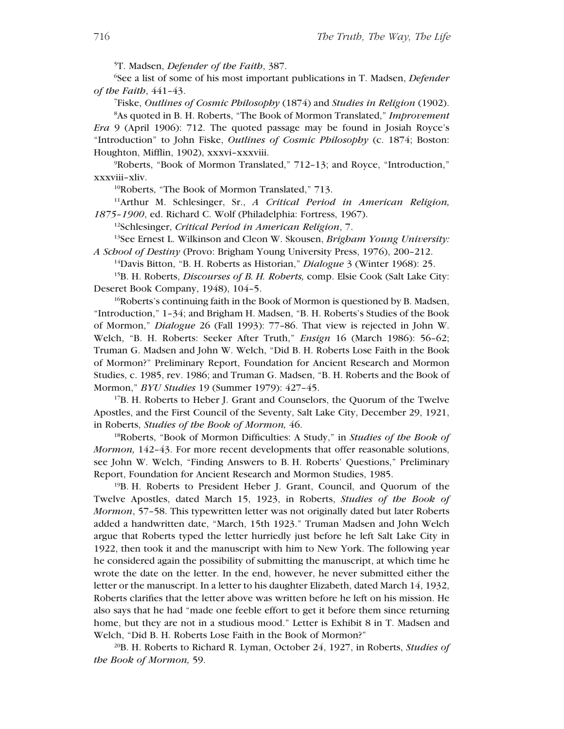5 T. Madsen, *Defender of the Faith*, 387.

6 See a list of some of his most important publications in T. Madsen, *Defender of the Faith*, 441–43.

7 Fiske, *Outlines of Cosmic Philosophy* (1874) and *Studies in Religion* (1902).

8 As quoted in B. H. Roberts, "The Book of Mormon Translated," *Improvement Era* 9 (April 1906): 712. The quoted passage may be found in Josiah Royce's "Introduction" to John Fiske, *Outlines of Cosmic Philosophy* (c. 1874; Boston: Houghton, Mifflin, 1902), xxxvi–xxxviii.

9 Roberts, "Book of Mormon Translated," 712–13; and Royce, "Introduction," xxxviii–xliv.

<sup>10</sup>Roberts, "The Book of Mormon Translated," 713.

11Arthur M. Schlesinger, Sr., *A Critical Period in American Religion, 1875–1900*, ed. Richard C. Wolf (Philadelphia: Fortress, 1967).

12Schlesinger, *Critical Period in American Religion*, 7.

13See Ernest L. Wilkinson and Cleon W. Skousen, *Brigham Young University: A School of Destiny* (Provo: Brigham Young University Press, 1976), 200–212.

14Davis Bitton, "B. H. Roberts as Historian," *Dialogue* 3 (Winter 1968): 25.

15B. H. Roberts, *Discourses of B. H. Roberts,* comp. Elsie Cook (Salt Lake City: Deseret Book Company, 1948), 104–5.

 $16R$ oberts's continuing faith in the Book of Mormon is questioned by B. Madsen, "Introduction," 1–34; and Brigham H. Madsen, "B. H. Roberts's Studies of the Book of Mormon," *Dialogue* 26 (Fall 1993): 77–86. That view is rejected in John W. Welch, "B. H. Roberts: Seeker After Truth," *Ensign* 16 (March 1986): 56–62; Truman G. Madsen and John W. Welch, "Did B. H. Roberts Lose Faith in the Book of Mormon?" Preliminary Report, Foundation for Ancient Research and Mormon Studies, c. 1985, rev. 1986; and Truman G. Madsen, "B. H. Roberts and the Book of Mormon," *BYU Studies* 19 (Summer 1979): 427–45.

17B. H. Roberts to Heber J. Grant and Counselors, the Quorum of the Twelve Apostles, and the First Council of the Seventy, Salt Lake City, December 29, 1921, in Roberts, *Studies of the Book of Mormon,* 46.

18Roberts, "Book of Mormon Difficulties: A Study," in *Studies of the Book of Mormon,* 142–43. For more recent developments that offer reasonable solutions, see John W. Welch, "Finding Answers to B. H. Roberts' Questions," Preliminary Report, Foundation for Ancient Research and Mormon Studies, 1985.

19B. H. Roberts to President Heber J. Grant, Council, and Quorum of the Twelve Apostles, dated March 15, 1923, in Roberts, *Studies of the Book of Mormon*, 57–58. This typewritten letter was not originally dated but later Roberts added a handwritten date, "March, 15th 1923." Truman Madsen and John Welch argue that Roberts typed the letter hurriedly just before he left Salt Lake City in 1922, then took it and the manuscript with him to New York. The following year he considered again the possibility of submitting the manuscript, at which time he wrote the date on the letter. In the end, however, he never submitted either the letter or the manuscript. In a letter to his daughter Elizabeth, dated March 14, 1932, Roberts clarifies that the letter above was written before he left on his mission. He also says that he had "made one feeble effort to get it before them since returning home, but they are not in a studious mood." Letter is Exhibit 8 in T. Madsen and Welch, "Did B. H. Roberts Lose Faith in the Book of Mormon?"

20B. H. Roberts to Richard R. Lyman, October 24, 1927, in Roberts, *Studies of the Book of Mormon,* 59.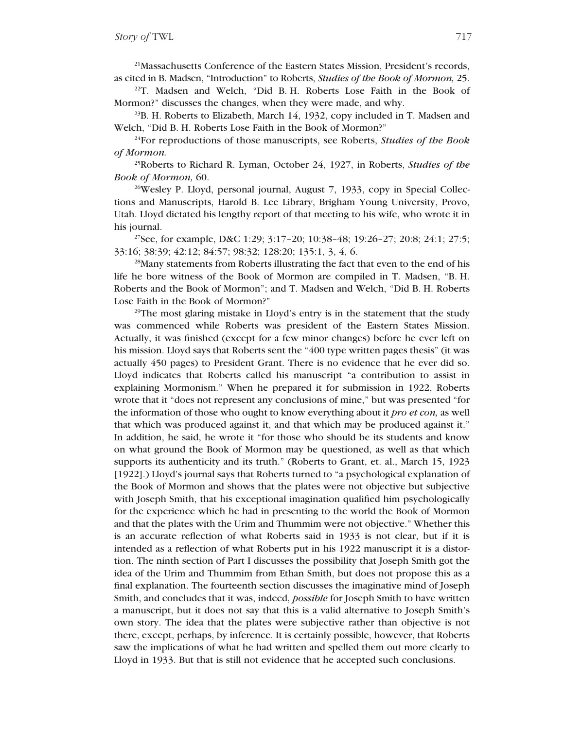21Massachusetts Conference of the Eastern States Mission, President's records, as cited in B. Madsen, "Introduction" to Roberts, *Studies of the Book of Mormon,* 25.

<sup>22</sup>T. Madsen and Welch, "Did B. H. Roberts Lose Faith in the Book of Mormon?" discusses the changes, when they were made, and why.

 $^{23}$ B. H. Roberts to Elizabeth, March 14, 1932, copy included in T. Madsen and Welch, "Did B. H. Roberts Lose Faith in the Book of Mormon?"

24For reproductions of those manuscripts, see Roberts, *Studies of the Book of Mormon.*

25Roberts to Richard R. Lyman, October 24, 1927, in Roberts, *Studies of the Book of Mormon,* 60.

<sup>26</sup>Wesley P. Lloyd, personal journal, August 7, 1933, copy in Special Collections and Manuscripts, Harold B. Lee Library, Brigham Young University, Provo, Utah. Lloyd dictated his lengthy report of that meeting to his wife, who wrote it in his journal.

27See, for example, D&C 1:29; 3:17–20; 10:38–48; 19:26–27; 20:8; 24:1; 27:5; 33:16; 38:39; 42:12; 84:57; 98:32; 128:20; 135:1, 3, 4, 6.

28Many statements from Roberts illustrating the fact that even to the end of his life he bore witness of the Book of Mormon are compiled in T. Madsen, "B. H. Roberts and the Book of Mormon"; and T. Madsen and Welch, "Did B. H. Roberts Lose Faith in the Book of Mormon?"

<sup>29</sup>The most glaring mistake in Lloyd's entry is in the statement that the study was commenced while Roberts was president of the Eastern States Mission. Actually, it was finished (except for a few minor changes) before he ever left on his mission. Lloyd says that Roberts sent the "400 type written pages thesis" (it was actually 450 pages) to President Grant. There is no evidence that he ever did so. Lloyd indicates that Roberts called his manuscript "a contribution to assist in explaining Mormonism." When he prepared it for submission in 1922, Roberts wrote that it "does not represent any conclusions of mine," but was presented "for the information of those who ought to know everything about it *pro et con,* as well that which was produced against it, and that which may be produced against it." In addition, he said, he wrote it "for those who should be its students and know on what ground the Book of Mormon may be questioned, as well as that which supports its authenticity and its truth." (Roberts to Grant, et. al., March 15, 1923 [1922].) Lloyd's journal says that Roberts turned to "a psychological explanation of the Book of Mormon and shows that the plates were not objective but subjective with Joseph Smith, that his exceptional imagination qualified him psychologically for the experience which he had in presenting to the world the Book of Mormon and that the plates with the Urim and Thummim were not objective." Whether this is an accurate reflection of what Roberts said in 1933 is not clear, but if it is intended as a reflection of what Roberts put in his 1922 manuscript it is a distortion. The ninth section of Part I discusses the possibility that Joseph Smith got the idea of the Urim and Thummim from Ethan Smith, but does not propose this as a final explanation. The fourteenth section discusses the imaginative mind of Joseph Smith, and concludes that it was, indeed, *possible* for Joseph Smith to have written a manuscript, but it does not say that this is a valid alternative to Joseph Smith's own story. The idea that the plates were subjective rather than objective is not there, except, perhaps, by inference. It is certainly possible, however, that Roberts saw the implications of what he had written and spelled them out more clearly to Lloyd in 1933. But that is still not evidence that he accepted such conclusions.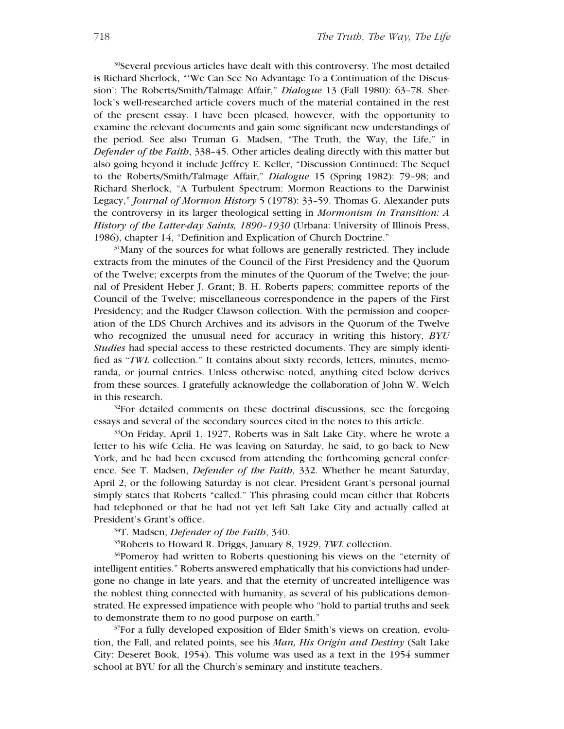30Several previous articles have dealt with this controversy. The most detailed is Richard Sherlock, "'We Can See No Advantage To a Continuation of the Discussion': The Roberts/Smith/Talmage Affair," *Dialogue* 13 (Fall 1980): 63–78. Sherlock's well-researched article covers much of the material contained in the rest of the present essay. I have been pleased, however, with the opportunity to examine the relevant documents and gain some significant new understandings of the period. See also Truman G. Madsen, "The Truth, the Way, the Life," in *Defender of the Faith*, 338–45. Other articles dealing directly with this matter but also going beyond it include Jeffrey E. Keller, "Discussion Continued: The Sequel to the Roberts/Smith/Talmage Affair," *Dialogue* 15 (Spring 1982): 79–98; and Richard Sherlock, "A Turbulent Spectrum: Mormon Reactions to the Darwinist Legacy," *Journal of Mormon History* 5 (1978): 33–59. Thomas G. Alexander puts the controversy in its larger theological setting in *Mormonism in Transition: A History of the Latter-day Saints, 1890–1930* (Urbana: University of Illinois Press, 1986), chapter 14, "Definition and Explication of Church Doctrine."

<sup>31</sup>Many of the sources for what follows are generally restricted. They include extracts from the minutes of the Council of the First Presidency and the Quorum of the Twelve; excerpts from the minutes of the Quorum of the Twelve; the journal of President Heber J. Grant; B. H. Roberts papers; committee reports of the Council of the Twelve; miscellaneous correspondence in the papers of the First Presidency; and the Rudger Clawson collection. With the permission and cooperation of the LDS Church Archives and its advisors in the Quorum of the Twelve who recognized the unusual need for accuracy in writing this history, *BYU Studies* had special access to these restricted documents. They are simply identified as "*TWL* collection." It contains about sixty records, letters, minutes, memoranda, or journal entries. Unless otherwise noted, anything cited below derives from these sources. I gratefully acknowledge the collaboration of John W. Welch in this research.

<sup>32</sup>For detailed comments on these doctrinal discussions, see the foregoing essays and several of the secondary sources cited in the notes to this article.

33On Friday, April 1, 1927, Roberts was in Salt Lake City, where he wrote a letter to his wife Celia. He was leaving on Saturday, he said, to go back to New York, and he had been excused from attending the forthcoming general conference. See T. Madsen, *Defender of the Faith*, 332. Whether he meant Saturday, April 2, or the following Saturday is not clear. President Grant's personal journal simply states that Roberts "called." This phrasing could mean either that Roberts had telephoned or that he had not yet left Salt Lake City and actually called at President's Grant's office.

34T. Madsen, *Defender of the Faith*, 340.

35Roberts to Howard R. Driggs, January 8, 1929, *TWL* collection.

36Pomeroy had written to Roberts questioning his views on the "eternity of intelligent entities." Roberts answered emphatically that his convictions had undergone no change in late years, and that the eternity of uncreated intelligence was the noblest thing connected with humanity, as several of his publications demonstrated. He expressed impatience with people who "hold to partial truths and seek to demonstrate them to no good purpose on earth."

<sup>37</sup>For a fully developed exposition of Elder Smith's views on creation, evolution, the Fall, and related points, see his *Man, His Origin and Destiny* (Salt Lake City: Deseret Book, 1954). This volume was used as a text in the 1954 summer school at BYU for all the Church's seminary and institute teachers.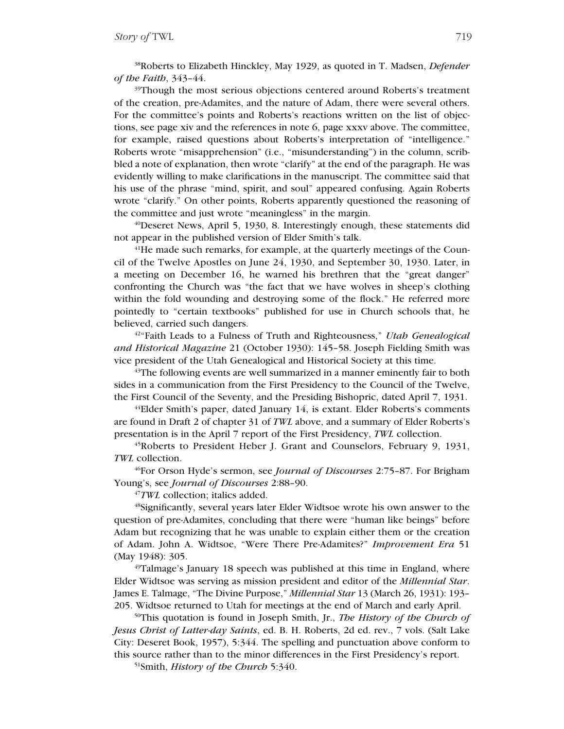38Roberts to Elizabeth Hinckley, May 1929, as quoted in T. Madsen, *Defender of the Faith*, 343–44.

<sup>39</sup>Though the most serious objections centered around Roberts's treatment of the creation, pre-Adamites, and the nature of Adam, there were several others. For the committee's points and Roberts's reactions written on the list of objections, see page xiv and the references in note 6, page xxxv above. The committee, for example, raised questions about Roberts's interpretation of "intelligence." Roberts wrote "misapprehension" (i.e., "misunderstanding") in the column, scribbled a note of explanation, then wrote "clarify" at the end of the paragraph. He was evidently willing to make clarifications in the manuscript. The committee said that his use of the phrase "mind, spirit, and soul" appeared confusing. Again Roberts wrote "clarify." On other points, Roberts apparently questioned the reasoning of the committee and just wrote "meaningless" in the margin.

40Deseret News, April 5, 1930, 8. Interestingly enough, these statements did not appear in the published version of Elder Smith's talk.

<sup>41</sup>He made such remarks, for example, at the quarterly meetings of the Council of the Twelve Apostles on June 24, 1930, and September 30, 1930. Later, in a meeting on December 16, he warned his brethren that the "great danger" confronting the Church was "the fact that we have wolves in sheep's clothing within the fold wounding and destroying some of the flock." He referred more pointedly to "certain textbooks" published for use in Church schools that, he believed, carried such dangers.

42"Faith Leads to a Fulness of Truth and Righteousness," *Utah Genealogical and Historical Magazine* 21 (October 1930): 145–58. Joseph Fielding Smith was vice president of the Utah Genealogical and Historical Society at this time.

<sup>43</sup>The following events are well summarized in a manner eminently fair to both sides in a communication from the First Presidency to the Council of the Twelve, the First Council of the Seventy, and the Presiding Bishopric, dated April 7, 1931.

44Elder Smith's paper, dated January 14, is extant. Elder Roberts's comments are found in Draft 2 of chapter 31 of *TWL* above, and a summary of Elder Roberts's presentation is in the April 7 report of the First Presidency, *TWL* collection.

45Roberts to President Heber J. Grant and Counselors, February 9, 1931, *TWL* collection.

46For Orson Hyde's sermon, see *Journal of Discourses* 2:75–87. For Brigham Young's, see *Journal of Discourses* 2:88–90.

<sup>47</sup>*TWL* collection; italics added.

48Significantly, several years later Elder Widtsoe wrote his own answer to the question of pre-Adamites, concluding that there were "human like beings" before Adam but recognizing that he was unable to explain either them or the creation of Adam. John A. Widtsoe, "Were There Pre-Adamites?" *Improvement Era* 51 (May 1948): 305.

49Talmage's January 18 speech was published at this time in England, where Elder Widtsoe was serving as mission president and editor of the *Millennial Star*. James E. Talmage, "The Divine Purpose," *Millennial Star* 13 (March 26, 1931): 193– 205. Widtsoe returned to Utah for meetings at the end of March and early April.

50This quotation is found in Joseph Smith, Jr., *The History of the Church of Jesus Christ of Latter-day Saints*, ed. B. H. Roberts, 2d ed. rev., 7 vols. (Salt Lake City: Deseret Book, 1957), 5:344. The spelling and punctuation above conform to this source rather than to the minor differences in the First Presidency's report.

51Smith, *History of the Church* 5:340.